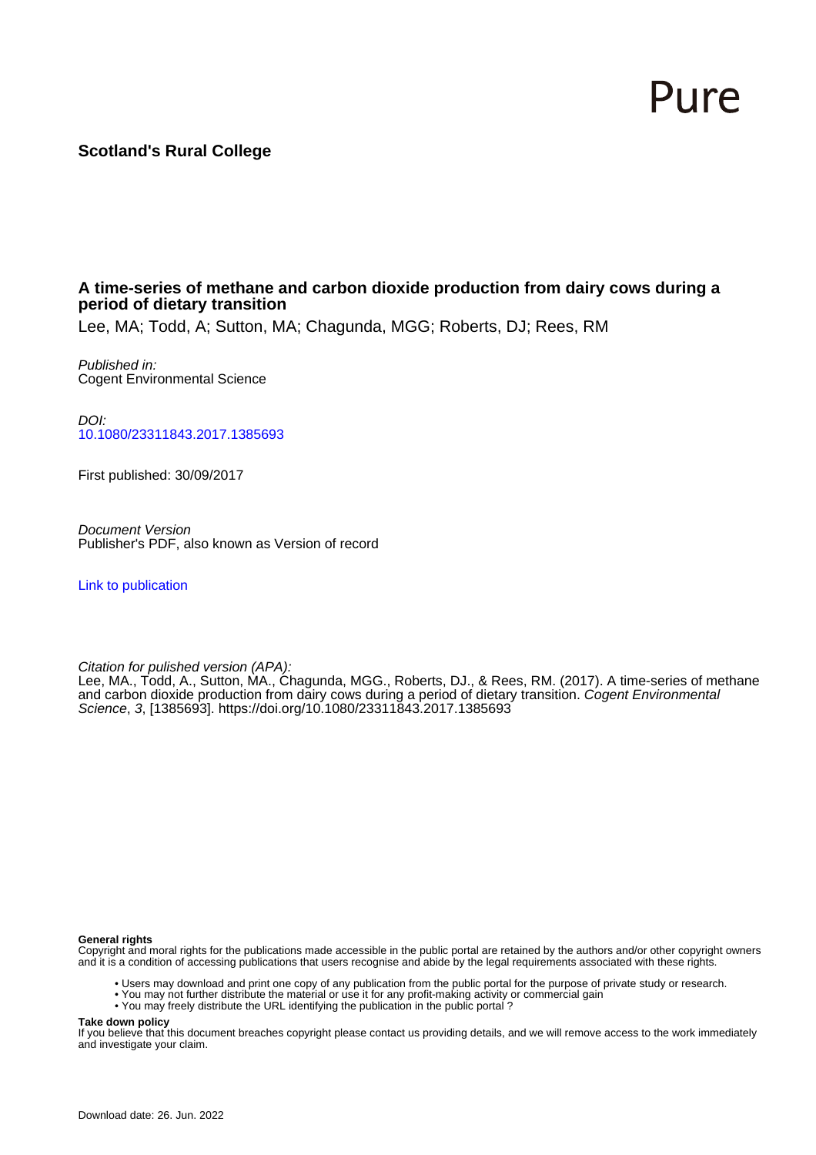# Pure

# **Scotland's Rural College**

## **A time-series of methane and carbon dioxide production from dairy cows during a period of dietary transition**

Lee, MA; Todd, A; Sutton, MA; Chagunda, MGG; Roberts, DJ; Rees, RM

Published in: Cogent Environmental Science

DOI: [10.1080/23311843.2017.1385693](https://doi.org/10.1080/23311843.2017.1385693)

First published: 30/09/2017

Document Version Publisher's PDF, also known as Version of record

[Link to publication](https://pure.sruc.ac.uk/en/publications/ba314694-0e24-4321-8118-fc5633903372)

Citation for pulished version (APA):

Lee, MA., Todd, A., Sutton, MA., Chagunda, MGG., Roberts, DJ., & Rees, RM. (2017). A time-series of methane and carbon dioxide production from dairy cows during a period of dietary transition. *Cogent Environmental* Science, 3, [1385693].<https://doi.org/10.1080/23311843.2017.1385693>

#### **General rights**

Copyright and moral rights for the publications made accessible in the public portal are retained by the authors and/or other copyright owners and it is a condition of accessing publications that users recognise and abide by the legal requirements associated with these rights.

- Users may download and print one copy of any publication from the public portal for the purpose of private study or research.
- You may not further distribute the material or use it for any profit-making activity or commercial gain
- You may freely distribute the URL identifying the publication in the public portal ?

#### **Take down policy**

If you believe that this document breaches copyright please contact us providing details, and we will remove access to the work immediately and investigate your claim.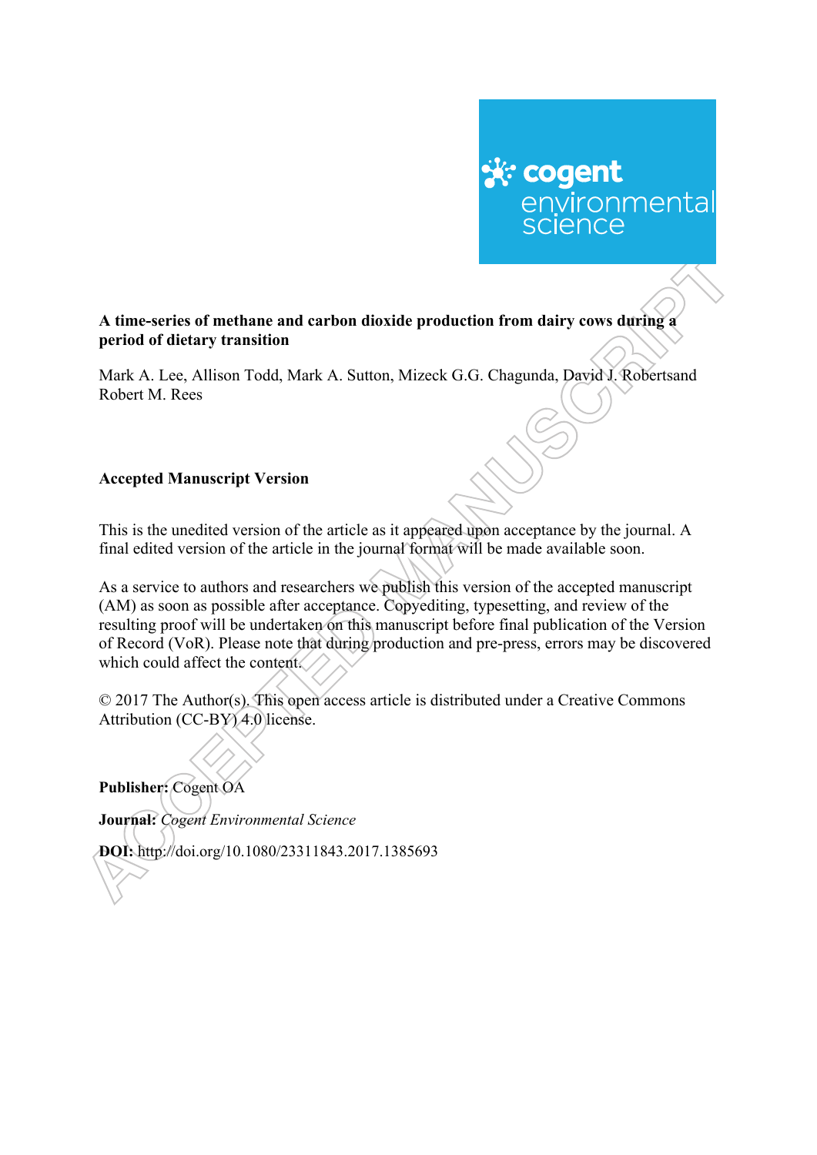# ☆ cogent environmental<br>science

# **A time-series of methane and carbon dioxide production from dairy cows during a period of dietary transition**

Mark A. Lee, Allison Todd, Mark A. Sutton, Mizeck G.G. Chagunda, David J. Robertsand Robert M. Rees

# **Accepted Manuscript Version**

This is the unedited version of the article as it appeared upon acceptance by the journal. A final edited version of the article in the journal format will be made available soon.

As a service to authors and researchers we publish this version of the accepted manuscript (AM) as soon as possible after acceptance. Copyediting, typesetting, and review of the resulting proof will be undertaken on this manuscript before final publication of the Version of Record (VoR). Please note that during production and pre-press, errors may be discovered which could affect the content.

© 2017 The Author(s). This open access article is distributed under a Creative Commons Attribution (CC-BY) 4.0 license.

**Publisher:** Cogent OA

**Journal:** *Cogent Environmental Science*

**DOI:** http://doi.org/10.1080/23311843.2017.1385693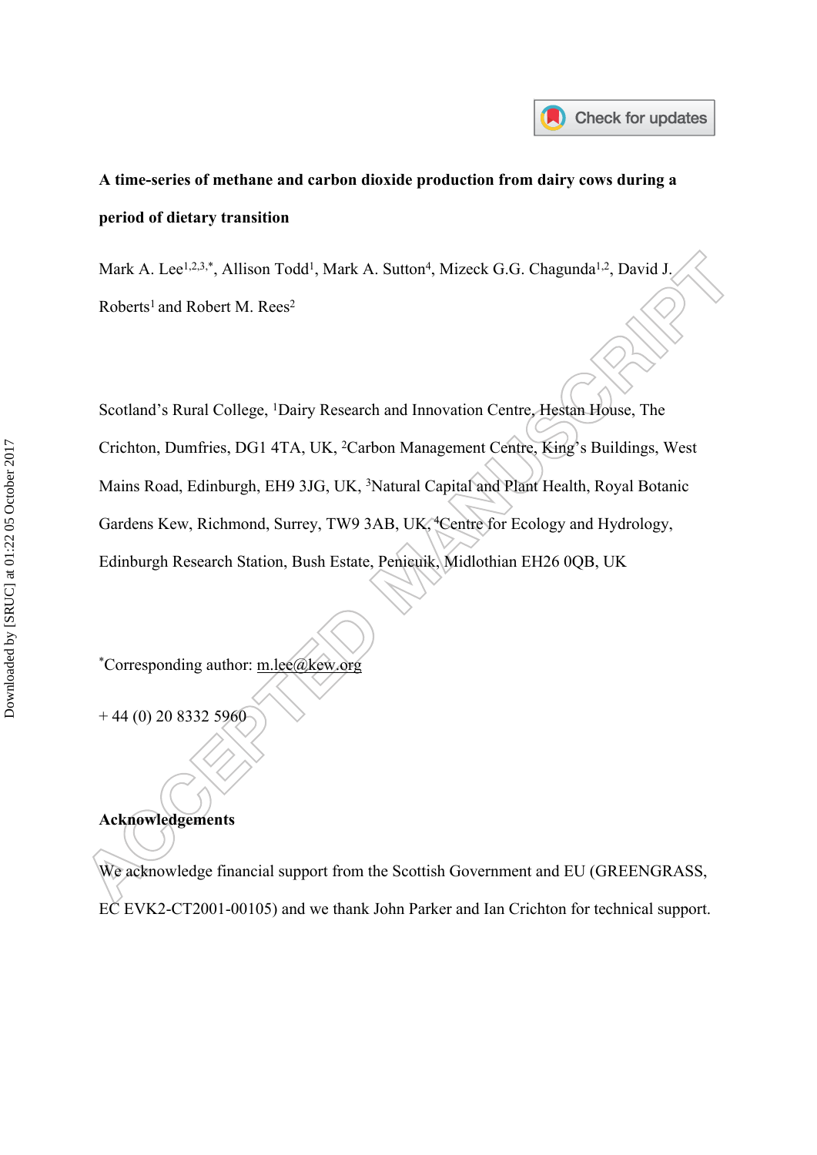

# **A time-series of methane and carbon dioxide production from dairy cows during a period of dietary transition**

Mark A. Lee<sup>1,2,3,\*</sup>, Allison Todd<sup>1</sup>, Mark A. Sutton<sup>4</sup>, Mizeck G.G. Chagunda<sup>1,2</sup>, David J. Roberts<sup>1</sup> and Robert M. Rees<sup>2</sup>

Scotland's Rural College, <sup>1</sup>Dairy Research and Innovation Centre, Hestan House, The Crichton, Dumfries, DG1 4TA, UK, <sup>2</sup>Carbon Management Centre, King's Buildings, West Mains Road, Edinburgh, EH9 3JG, UK, <sup>3</sup>Natural Capital and Plant Health, Royal Botanic Gardens Kew, Richmond, Surrey, TW9 3AB, UK, <sup>4</sup>Centre for Ecology and Hydrology, Edinburgh Research Station, Bush Estate, Penicuik, Midlothian EH26 0QB, UK

\*Corresponding author: [m.lee@kew.org](mailto:m.lee@kew.org)

+ 44 (0) 20 8332 5960

# **Acknowledgements**

We acknowledge financial support from the Scottish Government and EU (GREENGRASS, EC EVK2-CT2001-00105) and we thank John Parker and Ian Crichton for technical support.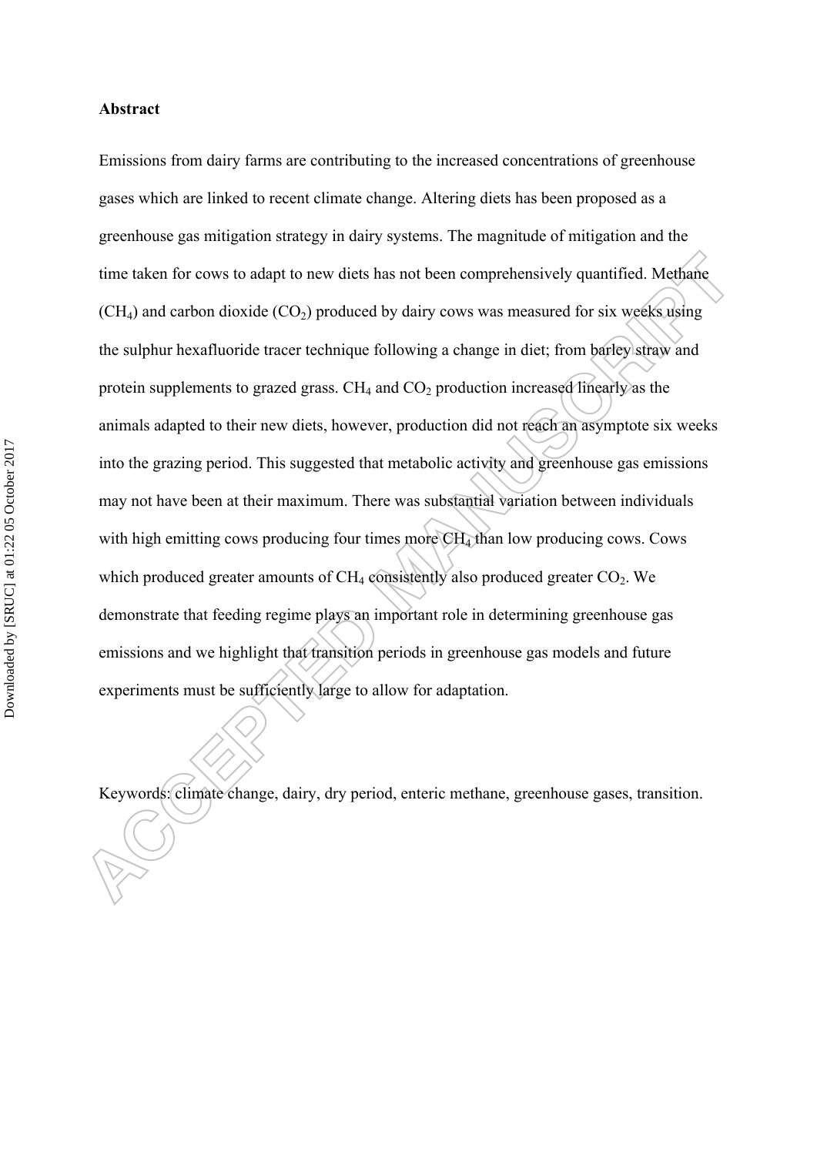#### **Abstract**

Emissions from dairy farms are contributing to the increased concentrations of greenhouse gases which are linked to recent climate change. Altering diets has been proposed as a greenhouse gas mitigation strategy in dairy systems. The magnitude of mitigation and the time taken for cows to adapt to new diets has not been comprehensively quantified. Methane  $(CH<sub>4</sub>)$  and carbon dioxide  $(CO<sub>2</sub>)$  produced by dairy cows was measured for six weeks using the sulphur hexafluoride tracer technique following a change in diet; from barley straw and protein supplements to grazed grass.  $CH<sub>4</sub>$  and  $CO<sub>2</sub>$  production increased linearly as the animals adapted to their new diets, however, production did not reach an asymptote six weeks into the grazing period. This suggested that metabolic activity and greenhouse gas emissions may not have been at their maximum. There was substantial variation between individuals with high emitting cows producing four times more CH<sub>4</sub> than low producing cows. Cows which produced greater amounts of  $CH_4$  consistently also produced greater  $CO_2$ . We demonstrate that feeding regime plays an important role in determining greenhouse gas emissions and we highlight that transition periods in greenhouse gas models and future experiments must be sufficiently large to allow for adaptation.

Keywords: climate change, dairy, dry period, enteric methane, greenhouse gases, transition.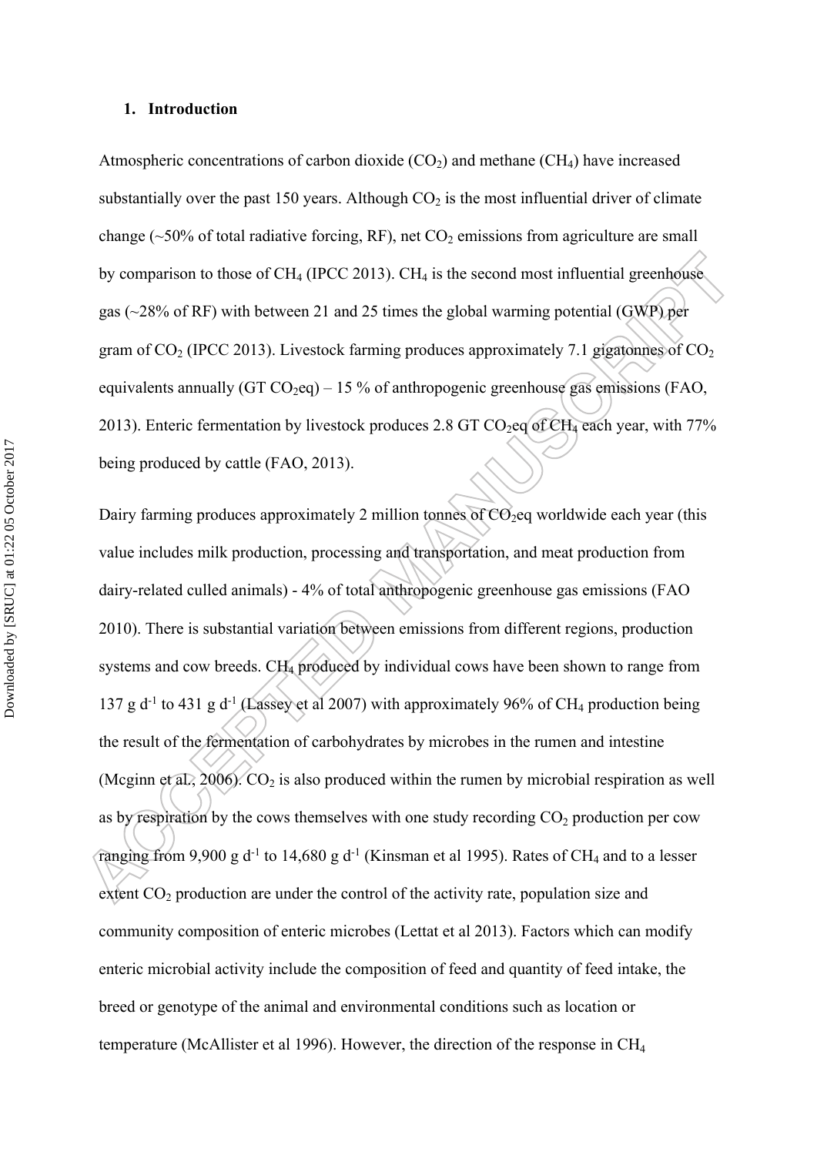#### **1. Introduction**

Atmospheric concentrations of carbon dioxide  $(CO<sub>2</sub>)$  and methane  $(CH<sub>4</sub>)$  have increased substantially over the past 150 years. Although  $CO<sub>2</sub>$  is the most influential driver of climate change ( $\sim$ 50% of total radiative forcing, RF), net CO<sub>2</sub> emissions from agriculture are small by comparison to those of  $CH_4$  (IPCC 2013). CH<sub>4</sub> is the second most influential greenhouse gas (~28% of RF) with between 21 and 25 times the global warming potential (GWP) per gram of  $CO_2$  (IPCC 2013). Livestock farming produces approximately 7.1 gigatonnes of  $CO_2$ equivalents annually (GT  $CO_2$ eq) – 15 % of anthropogenic greenhouse gas emissions (FAO, 2013). Enteric fermentation by livestock produces 2.8 GT CO<sub>2</sub>eq of CH<sub>4</sub> each year, with 77% being produced by cattle (FAO, 2013).

Dairy farming produces approximately 2 million tonnes of  $CO<sub>2</sub>$ eq worldwide each year (this value includes milk production, processing and transportation, and meat production from dairy-related culled animals) - 4% of total anthropogenic greenhouse gas emissions (FAO 2010). There is substantial variation between emissions from different regions, production systems and cow breeds. CH<sub>4</sub> produced by individual cows have been shown to range from 137 g d<sup>-1</sup> to 431 g d<sup>-1</sup> (Lassey et al 2007) with approximately 96% of CH<sub>4</sub> production being the result of the fermentation of carbohydrates by microbes in the rumen and intestine (Mcginn et al., 2006).  $CO<sub>2</sub>$  is also produced within the rumen by microbial respiration as well as by respiration by the cows themselves with one study recording  $CO<sub>2</sub>$  production per cow ranging from 9,900 g d<sup>-1</sup> to 14,680 g d<sup>-1</sup> (Kinsman et al 1995). Rates of CH<sub>4</sub> and to a lesser extent  $CO<sub>2</sub>$  production are under the control of the activity rate, population size and community composition of enteric microbes (Lettat et al 2013). Factors which can modify enteric microbial activity include the composition of feed and quantity of feed intake, the breed or genotype of the animal and environmental conditions such as location or temperature (McAllister et al 1996). However, the direction of the response in CH<sup>4</sup>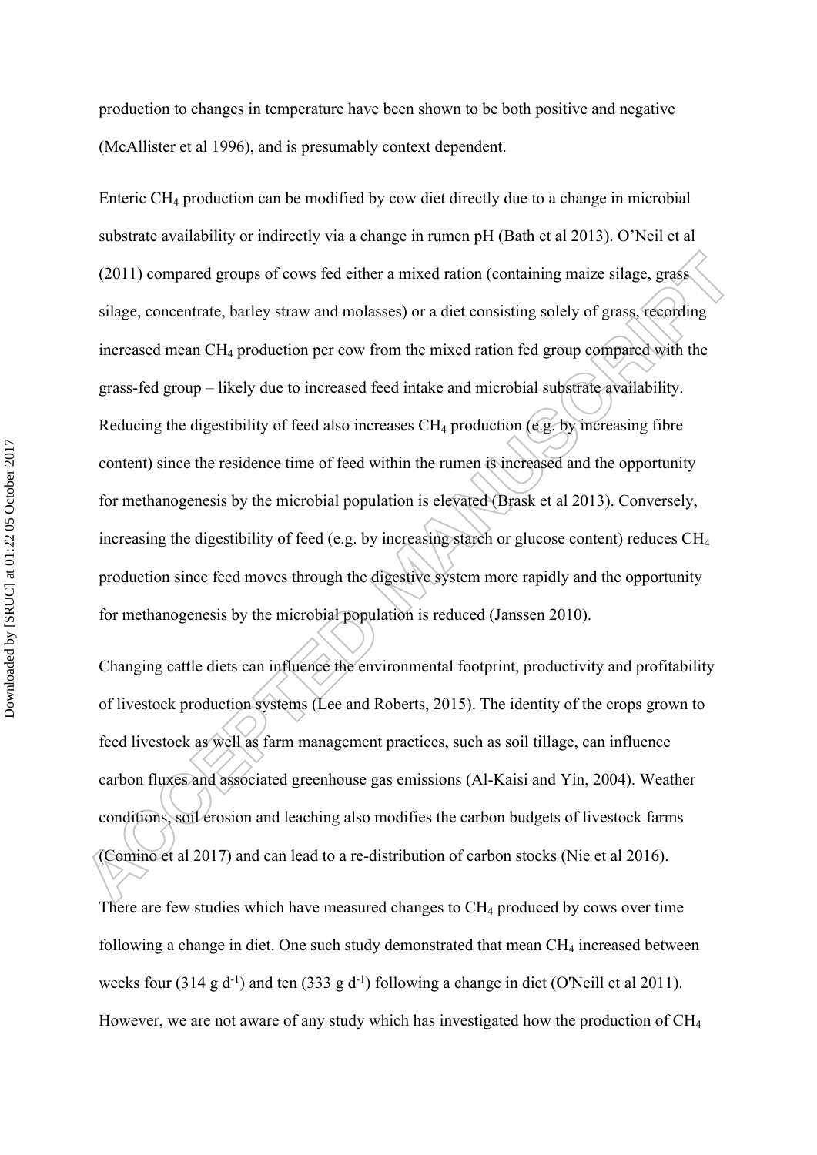production to changes in temperature have been shown to be both positive and negative (McAllister et al 1996), and is presumably context dependent.

Enteric CH4 production can be modified by cow diet directly due to a change in microbial substrate availability or indirectly via a change in rumen pH (Bath et al 2013). O'Neil et al (2011) compared groups of cows fed either a mixed ration (containing maize silage, grass silage, concentrate, barley straw and molasses) or a diet consisting solely of grass, recording increased mean CH4 production per cow from the mixed ration fed group compared with the grass-fed group – likely due to increased feed intake and microbial substrate availability. Reducing the digestibility of feed also increases  $CH_4$  production (e.g. by increasing fibre content) since the residence time of feed within the rumen is increased and the opportunity for methanogenesis by the microbial population is elevated (Brask et al 2013). Conversely, increasing the digestibility of feed (e.g. by increasing starch or glucose content) reduces CH<sup>4</sup> production since feed moves through the digestive system more rapidly and the opportunity for methanogenesis by the microbial population is reduced (Janssen 2010).

Changing cattle diets can influence the environmental footprint, productivity and profitability of livestock production systems (Lee and Roberts, 2015). The identity of the crops grown to feed livestock as well as farm management practices, such as soil tillage, can influence carbon fluxes and associated greenhouse gas emissions (Al-Kaisi and Yin, 2004). Weather conditions, soil erosion and leaching also modifies the carbon budgets of livestock farms (Comino et al 2017) and can lead to a re-distribution of carbon stocks (Nie et al 2016).

There are few studies which have measured changes to CH<sub>4</sub> produced by cows over time following a change in diet. One such study demonstrated that mean  $CH<sub>4</sub>$  increased between weeks four (314 g d<sup>-1</sup>) and ten (333 g d<sup>-1</sup>) following a change in diet (O'Neill et al 2011). However, we are not aware of any study which has investigated how the production of CH<sub>4</sub>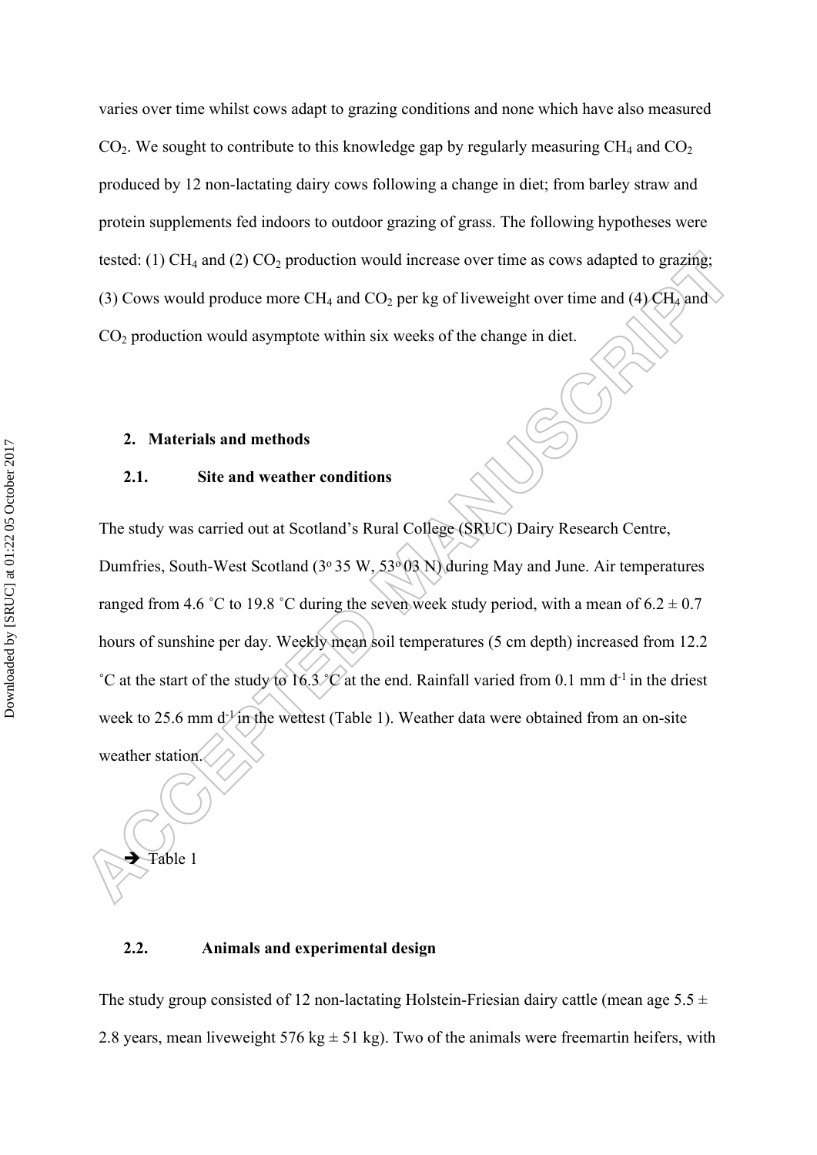varies over time whilst cows adapt to grazing conditions and none which have also measured  $CO<sub>2</sub>$ . We sought to contribute to this knowledge gap by regularly measuring  $CH<sub>4</sub>$  and  $CO<sub>2</sub>$ produced by 12 non-lactating dairy cows following a change in diet; from barley straw and protein supplements fed indoors to outdoor grazing of grass. The following hypotheses were tested: (1)  $CH_4$  and (2)  $CO_2$  production would increase over time as cows adapted to grazing; (3) Cows would produce more CH<sub>4</sub> and CO<sub>2</sub> per kg of liveweight over time and (4) CH<sub>4</sub> and  $CO<sub>2</sub>$  production would asymptote within six weeks of the change in diet.

#### **2. Materials and methods**

#### **2.1. Site and weather conditions**

The study was carried out at Scotland's Rural College (SRUC) Dairy Research Centre, Dumfries, South-West Scotland ( $3°35$  W,  $53°03$  N) during May and June. Air temperatures ranged from 4.6 °C to 19.8 °C during the seven week study period, with a mean of  $6.2 \pm 0.7$ hours of sunshine per day. Weekly mean soil temperatures (5 cm depth) increased from 12.2 °C at the start of the study to 16.3 °C at the end. Rainfall varied from 0.1 mm d<sup>-1</sup> in the driest week to 25.6 mm d<sup>-1</sup> in the wettest (Table 1). Weather data were obtained from an on-site weather station.

Table 1

### **2.2. Animals and experimental design**

The study group consisted of 12 non-lactating Holstein-Friesian dairy cattle (mean age  $5.5 \pm$ 2.8 years, mean liveweight 576 kg  $\pm$  51 kg). Two of the animals were freemartin heifers, with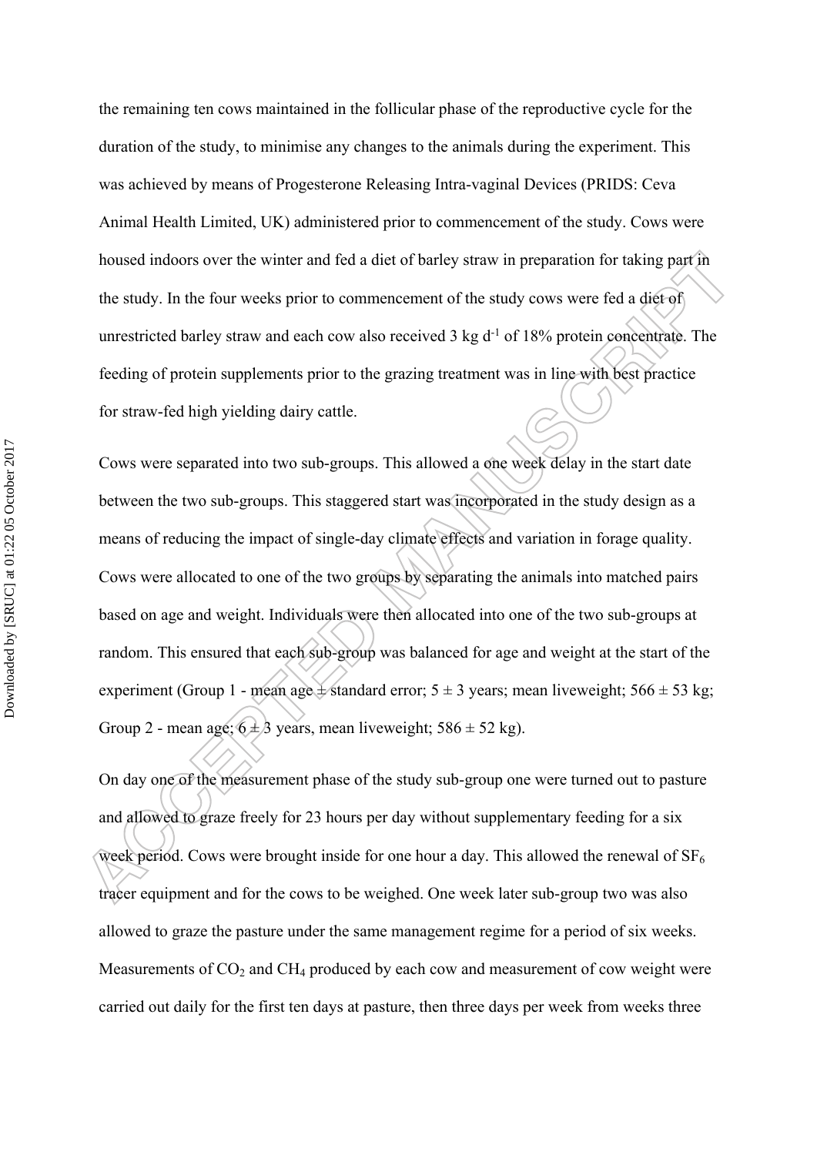the remaining ten cows maintained in the follicular phase of the reproductive cycle for the duration of the study, to minimise any changes to the animals during the experiment. This was achieved by means of Progesterone Releasing Intra-vaginal Devices (PRIDS: Ceva Animal Health Limited, UK) administered prior to commencement of the study. Cows were housed indoors over the winter and fed a diet of barley straw in preparation for taking part in the study. In the four weeks prior to commencement of the study cows were fed a diet of unrestricted barley straw and each cow also received 3 kg d<sup>-1</sup> of 18% protein concentrate. The feeding of protein supplements prior to the grazing treatment was in line with best practice for straw-fed high yielding dairy cattle.

Cows were separated into two sub-groups. This allowed a one week delay in the start date between the two sub-groups. This staggered start was incorporated in the study design as a means of reducing the impact of single-day climate effects and variation in forage quality. Cows were allocated to one of the two groups by separating the animals into matched pairs based on age and weight. Individuals were then allocated into one of the two sub-groups at random. This ensured that each sub-group was balanced for age and weight at the start of the experiment (Group 1 - mean age  $\pm$  standard error; 5  $\pm$  3 years; mean liveweight; 566  $\pm$  53 kg; Group 2 - mean age;  $6 \pm 3$  years, mean liveweight;  $586 \pm 52$  kg).

On day one of the measurement phase of the study sub-group one were turned out to pasture and allowed to graze freely for 23 hours per day without supplementary feeding for a six week period. Cows were brought inside for one hour a day. This allowed the renewal of  $SF_6$ tracer equipment and for the cows to be weighed. One week later sub-group two was also allowed to graze the pasture under the same management regime for a period of six weeks. Measurements of  $CO<sub>2</sub>$  and  $CH<sub>4</sub>$  produced by each cow and measurement of cow weight were carried out daily for the first ten days at pasture, then three days per week from weeks three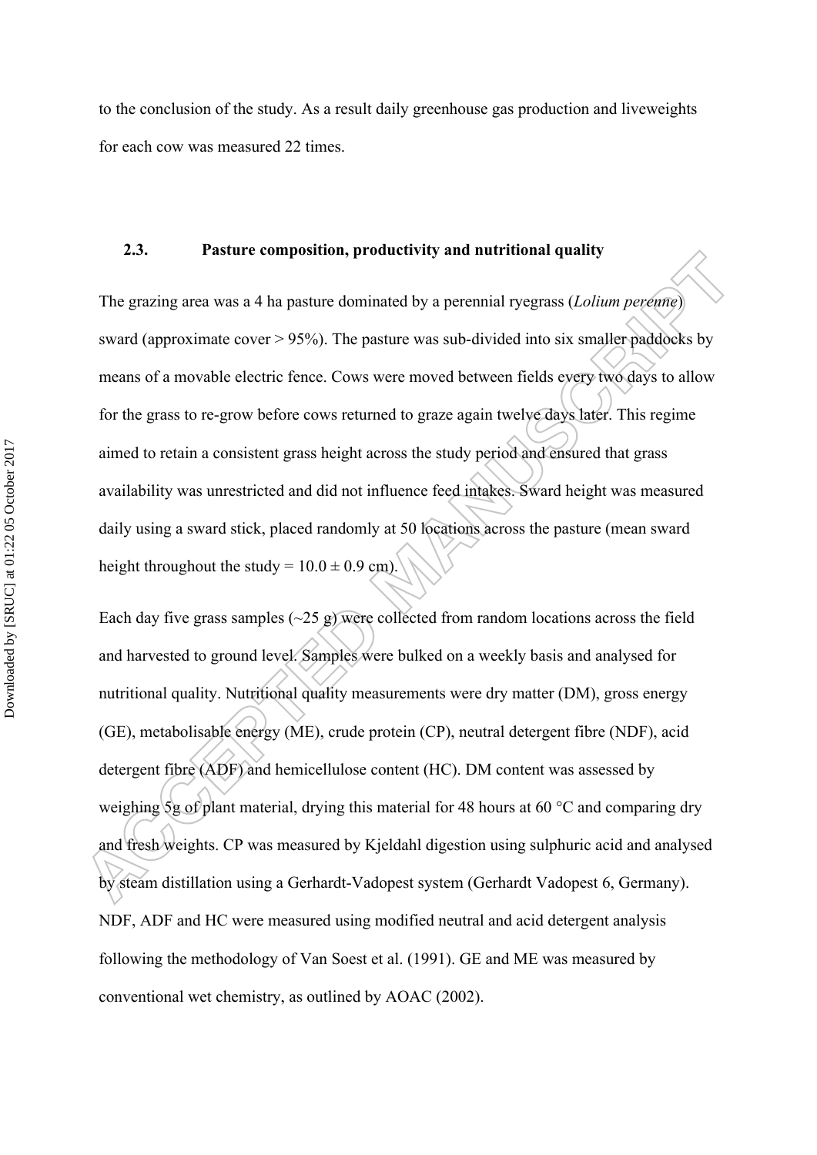to the conclusion of the study. As a result daily greenhouse gas production and liveweights for each cow was measured 22 times.

#### **2.3. Pasture composition, productivity and nutritional quality**

The grazing area was a 4 ha pasture dominated by a perennial ryegrass (*Lolium perenne*) sward (approximate cover > 95%). The pasture was sub-divided into six smaller paddocks by means of a movable electric fence. Cows were moved between fields every two days to allow for the grass to re-grow before cows returned to graze again twelve days later. This regime aimed to retain a consistent grass height across the study period and ensured that grass availability was unrestricted and did not influence feed intakes. Sward height was measured daily using a sward stick, placed randomly at 50 locations across the pasture (mean sward height throughout the study =  $10.0 \pm 0.9$  cm).

Each day five grass samples  $(\sim 25 \text{ g})$  were collected from random locations across the field and harvested to ground level. Samples were bulked on a weekly basis and analysed for nutritional quality. Nutritional quality measurements were dry matter (DM), gross energy (GE), metabolisable energy (ME), crude protein (CP), neutral detergent fibre (NDF), acid detergent fibre (ADF) and hemicellulose content (HC). DM content was assessed by weighing 5g of plant material, drying this material for 48 hours at 60 °C and comparing dry and fresh weights. CP was measured by Kjeldahl digestion using sulphuric acid and analysed by steam distillation using a Gerhardt-Vadopest system (Gerhardt Vadopest 6, Germany). NDF, ADF and HC were measured using modified neutral and acid detergent analysis following the methodology of Van Soest et al. (1991). GE and ME was measured by conventional wet chemistry, as outlined by AOAC (2002).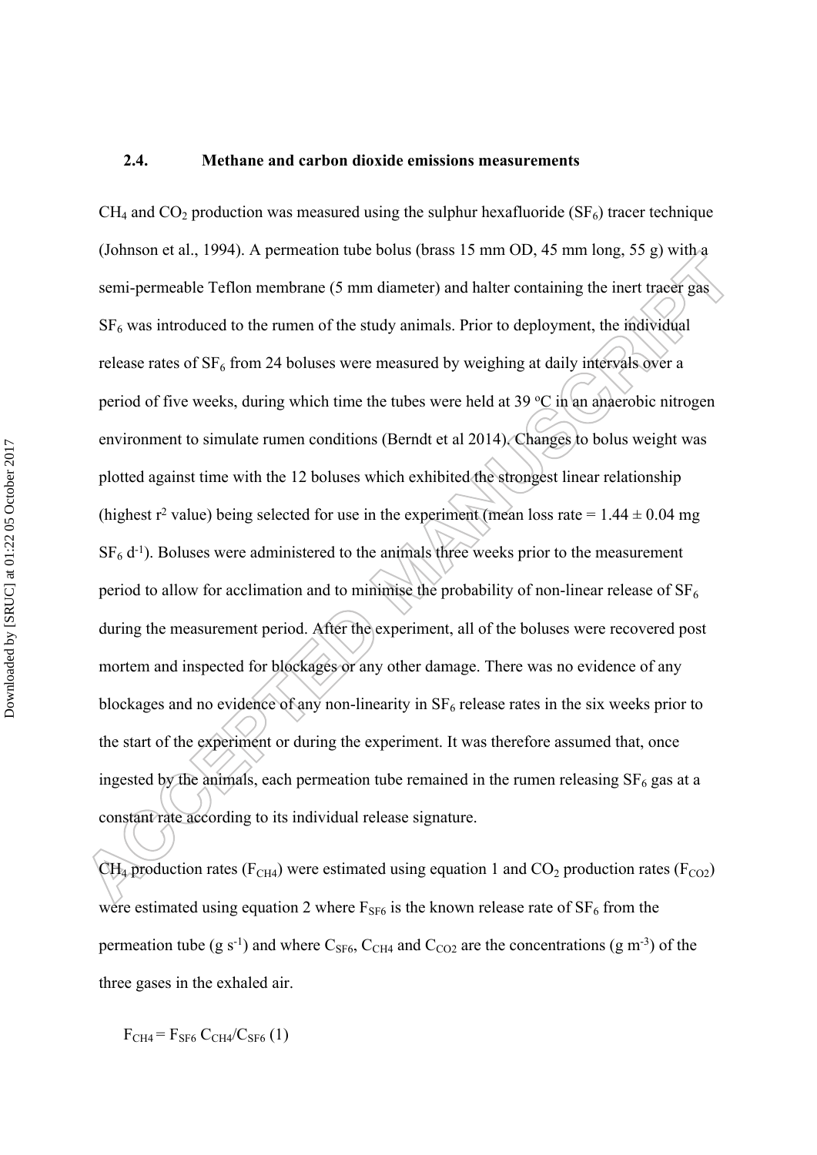#### **2.4. Methane and carbon dioxide emissions measurements**

 $CH_4$  and  $CO_2$  production was measured using the sulphur hexafluoride (SF<sub>6</sub>) tracer technique (Johnson et al., 1994). A permeation tube bolus (brass 15 mm OD, 45 mm long, 55 g) with a semi-permeable Teflon membrane (5 mm diameter) and halter containing the inert tracer gas  $SF<sub>6</sub>$  was introduced to the rumen of the study animals. Prior to deployment, the individual release rates of  $SF_6$  from 24 boluses were measured by weighing at daily intervals over a period of five weeks, during which time the tubes were held at 39  $\degree$ C in an anaerobic nitrogen environment to simulate rumen conditions (Berndt et al 2014). Changes to bolus weight was plotted against time with the 12 boluses which exhibited the strongest linear relationship (highest r<sup>2</sup> value) being selected for use in the experiment (mean loss rate =  $1.44 \pm 0.04$  mg  $SF<sub>6</sub> d<sup>-1</sup>$ . Boluses were administered to the animals three weeks prior to the measurement period to allow for acclimation and to minimise the probability of non-linear release of  $SF_6$ during the measurement period. After the experiment, all of the boluses were recovered post mortem and inspected for blockages or any other damage. There was no evidence of any blockages and no evidence of any non-linearity in  $SF_6$  release rates in the six weeks prior to the start of the experiment or during the experiment. It was therefore assumed that, once ingested by the animals, each permeation tube remained in the rumen releasing  $SF<sub>6</sub>$  gas at a constant rate according to its individual release signature.

 $CH_4$  production rates (F<sub>CH4</sub>) were estimated using equation 1 and  $CO_2$  production rates (F<sub>CO2</sub>) were estimated using equation 2 where  $F_{SF6}$  is the known release rate of  $SF_6$  from the permeation tube (g s<sup>-1</sup>) and where  $C_{SF6}$ ,  $C_{CH4}$  and  $C_{CO2}$  are the concentrations (g m<sup>-3</sup>) of the three gases in the exhaled air.

 $F<sub>CH4</sub> = F<sub>SFG</sub> C<sub>CH4</sub>/C<sub>SFG</sub> (1)$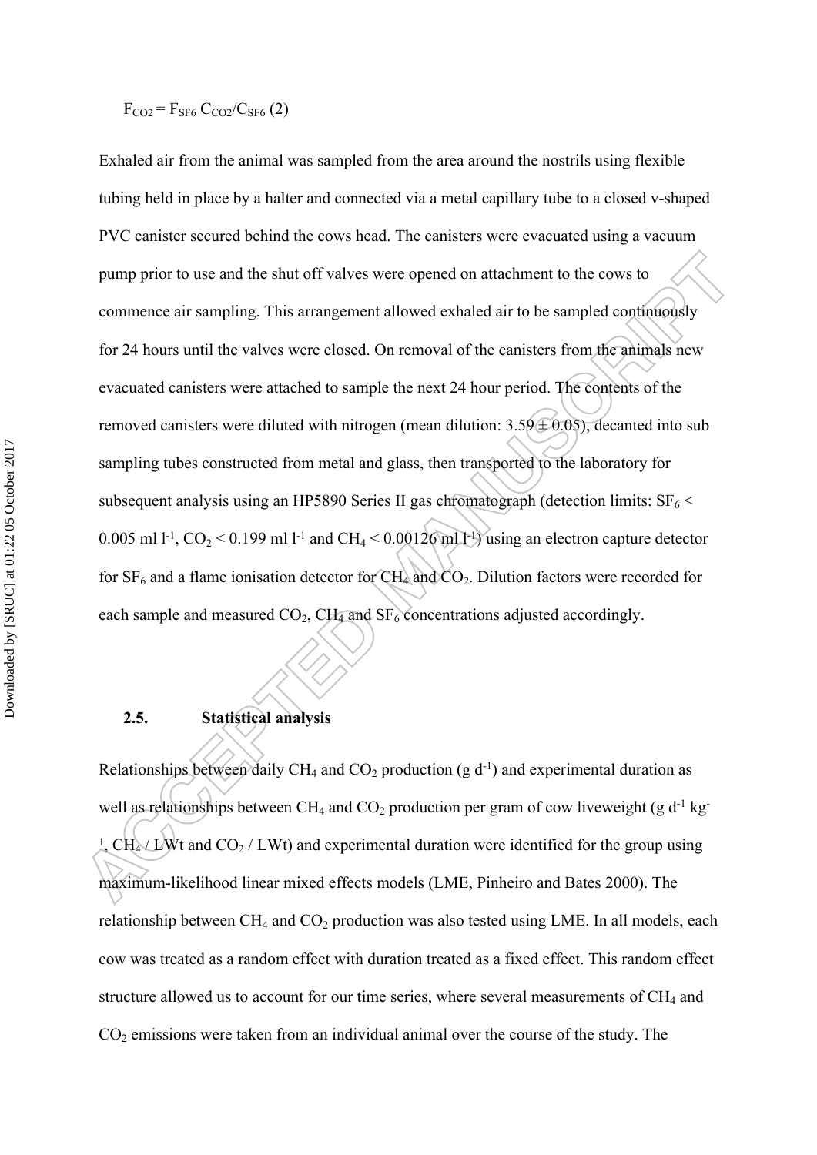# $F_{CO2} = F_{SFG} C_{CO2}/C_{SFG} (2)$

Exhaled air from the animal was sampled from the area around the nostrils using flexible tubing held in place by a halter and connected via a metal capillary tube to a closed v-shaped PVC canister secured behind the cows head. The canisters were evacuated using a vacuum pump prior to use and the shut off valves were opened on attachment to the cows to commence air sampling. This arrangement allowed exhaled air to be sampled continuously for 24 hours until the valves were closed. On removal of the canisters from the animals new evacuated canisters were attached to sample the next 24 hour period. The contents of the removed canisters were diluted with nitrogen (mean dilution:  $3.59 \pm 0.05$ ), decanted into sub sampling tubes constructed from metal and glass, then transported to the laboratory for subsequent analysis using an HP5890 Series II gas chromatograph (detection limits:  $SF_6$  < 0.005 ml l<sup>-1</sup>, CO<sub>2</sub> < 0.199 ml l<sup>-1</sup> and CH<sub>4</sub> < 0.00126 ml l<sup>-1</sup>) using an electron capture detector for  $SF_6$  and a flame ionisation detector for  $CH_4$  and  $CO_2$ . Dilution factors were recorded for each sample and measured  $CO<sub>2</sub>$ , CH<sub>4</sub> and SF<sub>6</sub> concentrations adjusted accordingly.

# **2.5. Statistical analysis**

Relationships between daily CH<sub>4</sub> and CO<sub>2</sub> production (g  $d^{-1}$ ) and experimental duration as well as relationships between  $CH_4$  and  $CO_2$  production per gram of cow liveweight (g d<sup>-1</sup> kg-<sup>1</sup>, CH<sub>4</sub> $\angle$ LWt and CO<sub>2</sub> / LWt) and experimental duration were identified for the group using maximum-likelihood linear mixed effects models (LME, Pinheiro and Bates 2000). The relationship between  $CH_4$  and  $CO_2$  production was also tested using LME. In all models, each cow was treated as a random effect with duration treated as a fixed effect. This random effect structure allowed us to account for our time series, where several measurements of  $CH<sub>4</sub>$  and  $CO<sub>2</sub>$  emissions were taken from an individual animal over the course of the study. The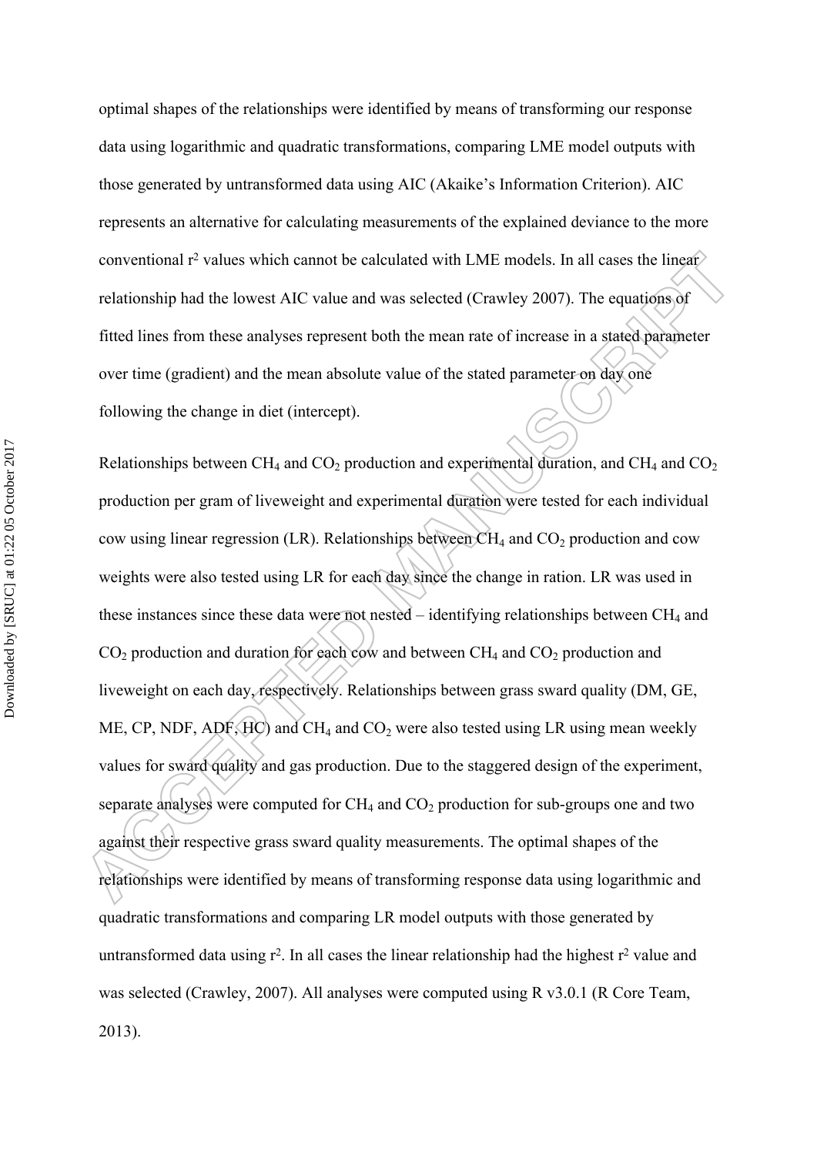optimal shapes of the relationships were identified by means of transforming our response data using logarithmic and quadratic transformations, comparing LME model outputs with those generated by untransformed data using AIC (Akaike's Information Criterion). AIC represents an alternative for calculating measurements of the explained deviance to the more conventional r<sup>2</sup> values which cannot be calculated with LME models. In all cases the linear relationship had the lowest AIC value and was selected (Crawley 2007). The equations of fitted lines from these analyses represent both the mean rate of increase in a stated parameter over time (gradient) and the mean absolute value of the stated parameter on day one following the change in diet (intercept).

Relationships between  $CH_4$  and  $CO_2$  production and experimental duration, and  $CH_4$  and  $CO_2$ production per gram of liveweight and experimental duration were tested for each individual cow using linear regression (LR). Relationships between  $CH_4$  and  $CO_2$  production and cow weights were also tested using LR for each day since the change in ration. LR was used in these instances since these data were not nested – identifying relationships between  $CH_4$  and  $CO<sub>2</sub>$  production and duration for each cow and between  $CH<sub>4</sub>$  and  $CO<sub>2</sub>$  production and liveweight on each day, respectively. Relationships between grass sward quality (DM, GE, ME, CP, NDF,  $ADF$ ,  $HD$ ) and  $CH_4$  and  $CO_2$  were also tested using LR using mean weekly values for sward quality and gas production. Due to the staggered design of the experiment, separate analyses were computed for  $CH_4$  and  $CO_2$  production for sub-groups one and two against their respective grass sward quality measurements. The optimal shapes of the relationships were identified by means of transforming response data using logarithmic and quadratic transformations and comparing LR model outputs with those generated by untransformed data using  $r^2$ . In all cases the linear relationship had the highest  $r^2$  value and was selected (Crawley, 2007). All analyses were computed using R v3.0.1 (R Core Team, 2013).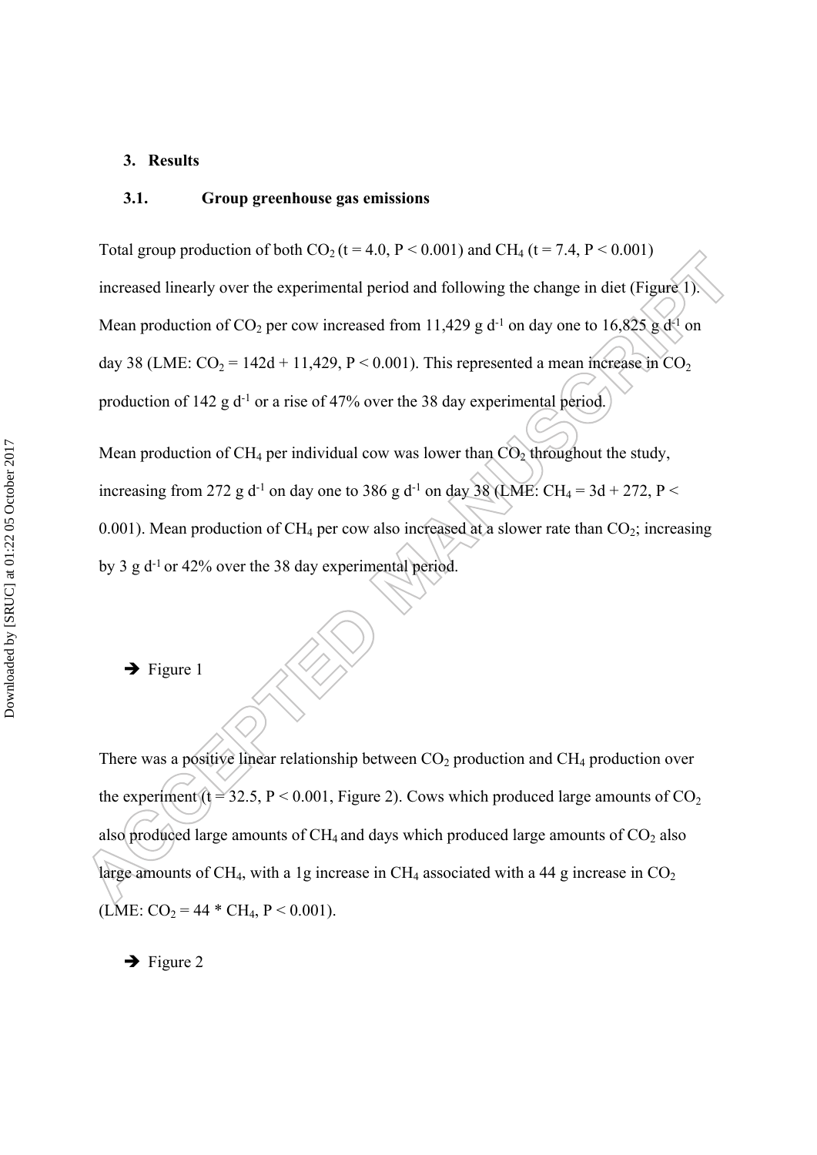#### **3. Results**

#### **3.1. Group greenhouse gas emissions**

Total group production of both  $CO_2$  (t = 4.0, P < 0.001) and CH<sub>4</sub> (t = 7.4, P < 0.001) increased linearly over the experimental period and following the change in diet (Figure 1). Mean production of CO<sub>2</sub> per cow increased from 11,429 g d<sup>-1</sup> on day one to 16,825 g d<sup>-1</sup> on day 38 (LME:  $CO_2 = 142d + 11,429, P < 0.001$ ). This represented a mean increase in  $CO_2$ production of 142 g  $d^{-1}$  or a rise of 47% over the 38 day experimental period.

Mean production of CH<sub>4</sub> per individual cow was lower than  $CO<sub>2</sub>$  throughout the study, increasing from 272 g d<sup>-1</sup> on day one to 386 g d<sup>-1</sup> on day 38 (LME: CH<sub>4</sub> = 3d + 272, P < 0.001). Mean production of CH<sub>4</sub> per cow also increased at a slower rate than  $CO_2$ ; increasing by 3 g d<sup>-1</sup> or 42% over the 38 day experimental period.

 $\rightarrow$  Figure 1

There was a positive linear relationship between  $CO<sub>2</sub>$  production and  $CH<sub>4</sub>$  production over the experiment (t = 32.5, P < 0.001, Figure 2). Cows which produced large amounts of  $CO<sub>2</sub>$ also produced large amounts of  $CH_4$  and days which produced large amounts of  $CO<sub>2</sub>$  also large amounts of CH<sub>4</sub>, with a 1g increase in CH<sub>4</sub> associated with a 44 g increase in  $CO<sub>2</sub>$ (LME:  $CO_2 = 44 * CH_4$ ,  $P < 0.001$ ).

 $\rightarrow$  Figure 2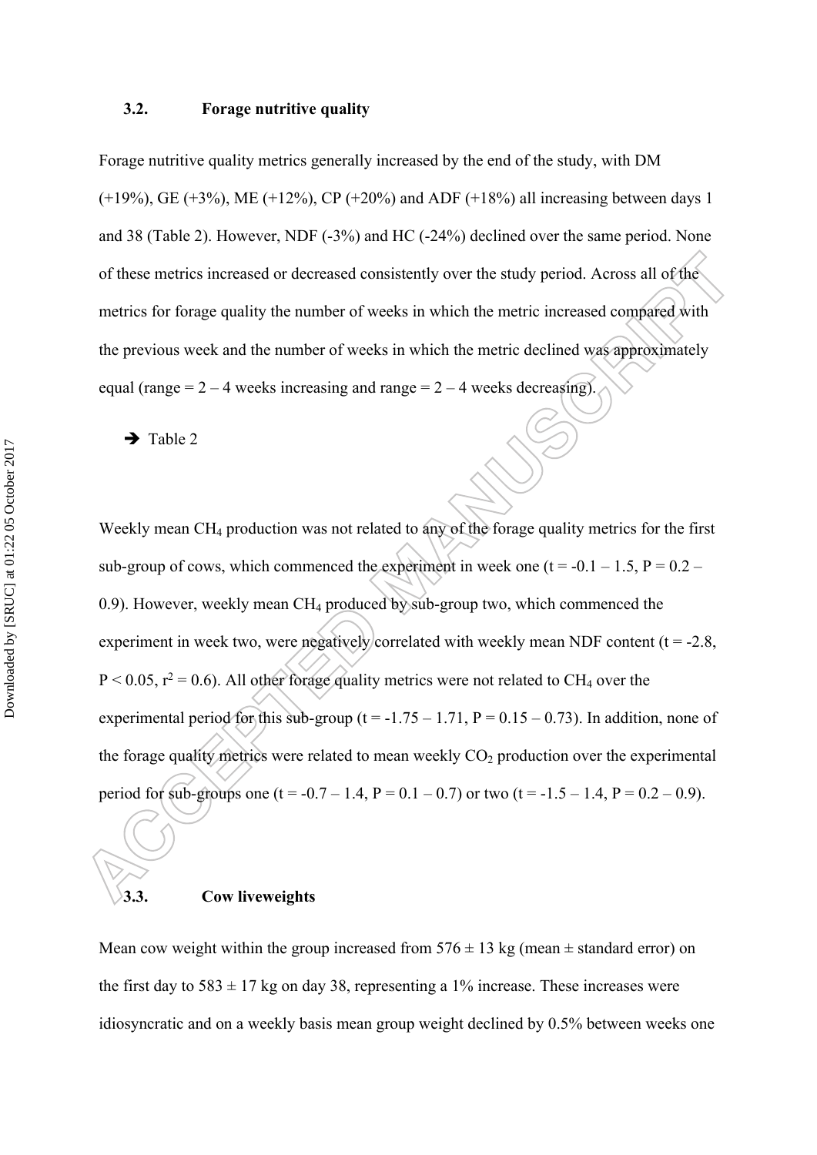#### **3.2. Forage nutritive quality**

Forage nutritive quality metrics generally increased by the end of the study, with DM  $(+19%)$ , GE  $(+3%)$ , ME  $(+12%)$ , CP  $(+20%)$  and ADF  $(+18%)$  all increasing between days 1 and 38 (Table 2). However, NDF (-3%) and HC (-24%) declined over the same period. None of these metrics increased or decreased consistently over the study period. Across all of the metrics for forage quality the number of weeks in which the metric increased compared with the previous week and the number of weeks in which the metric declined was approximately equal (range  $= 2 - 4$  weeks increasing and range  $= 2 - 4$  weeks decreasing).

 $\rightarrow$  Table 2

j

Weekly mean CH<sub>4</sub> production was not related to any of the forage quality metrics for the first sub-group of cows, which commenced the experiment in week one ( $t = -0.1 - 1.5$ ,  $P = 0.2 - 1.5$ 0.9). However, weekly mean CH4 produced by sub-group two, which commenced the experiment in week two, were negatively correlated with weekly mean NDF content ( $t = -2.8$ ,  $P < 0.05$ ,  $r^2 = 0.6$ ). All other forage quality metrics were not related to CH<sub>4</sub> over the experimental period for this sub-group ( $t = -1.75 - 1.71$ ,  $P = 0.15 - 0.73$ ). In addition, none of the forage quality metrics were related to mean weekly  $CO<sub>2</sub>$  production over the experimental period for sub-groups one (t = -0.7 – 1.4, P = 0.1 – 0.7) or two (t = -1.5 – 1.4, P = 0.2 – 0.9).

### **3.3. Cow liveweights**

Mean cow weight within the group increased from  $576 \pm 13$  kg (mean  $\pm$  standard error) on the first day to  $583 \pm 17$  kg on day 38, representing a 1% increase. These increases were idiosyncratic and on a weekly basis mean group weight declined by 0.5% between weeks one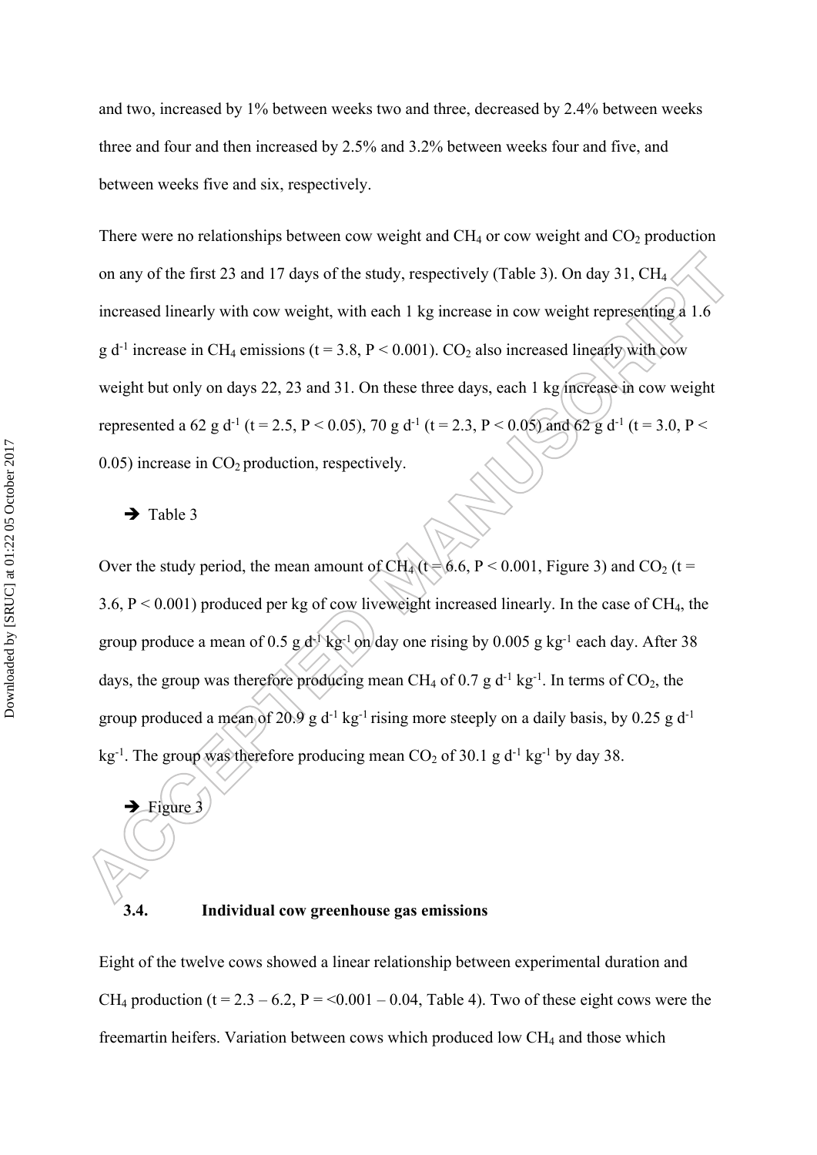and two, increased by 1% between weeks two and three, decreased by 2.4% between weeks three and four and then increased by 2.5% and 3.2% between weeks four and five, and between weeks five and six, respectively.

There were no relationships between cow weight and  $CH_4$  or cow weight and  $CO_2$  production on any of the first 23 and 17 days of the study, respectively (Table 3). On day 31, CH<sup>4</sup> increased linearly with cow weight, with each 1 kg increase in cow weight representing a 1.6 g d<sup>-1</sup> increase in CH<sub>4</sub> emissions (t = 3.8, P < 0.001). CO<sub>2</sub> also increased linearly with cow weight but only on days 22, 23 and 31. On these three days, each 1 kg increase in cow weight represented a 62 g d<sup>-1</sup> (t = 2.5, P < 0.05), 70 g d<sup>-1</sup> (t = 2.3, P < 0.05) and 62 g d<sup>-1</sup> (t = 3.0, P < 0.05) increase in  $CO<sub>2</sub>$  production, respectively.

#### $\rightarrow$  Table 3

Figure 3

Over the study period, the mean amount of CH<sub>4</sub> (t =  $6.6$ , P < 0.001, Figure 3) and CO<sub>2</sub> (t = 3.6,  $P < 0.001$ ) produced per kg of cow liveweight increased linearly. In the case of CH<sub>4</sub>, the group produce a mean of 0.5 g d<sup>-1</sup> kg<sup>-1</sup> on day one rising by 0.005 g kg<sup>-1</sup> each day. After 38 days, the group was therefore producing mean CH<sub>4</sub> of 0.7 g d<sup>-1</sup> kg<sup>-1</sup>. In terms of CO<sub>2</sub>, the group produced a mean of 20.9 g  $d^{-1}$  kg<sup>-1</sup> rising more steeply on a daily basis, by 0.25 g  $d^{-1}$ kg<sup>-1</sup>. The group was therefore producing mean  $CO_2$  of 30.1 g d<sup>-1</sup> kg<sup>-1</sup> by day 38.

## **3.4. Individual cow greenhouse gas emissions**

Eight of the twelve cows showed a linear relationship between experimental duration and CH<sub>4</sub> production (t = 2.3 – 6.2, P = <0.001 – 0.04, Table 4). Two of these eight cows were the freemartin heifers. Variation between cows which produced low  $CH<sub>4</sub>$  and those which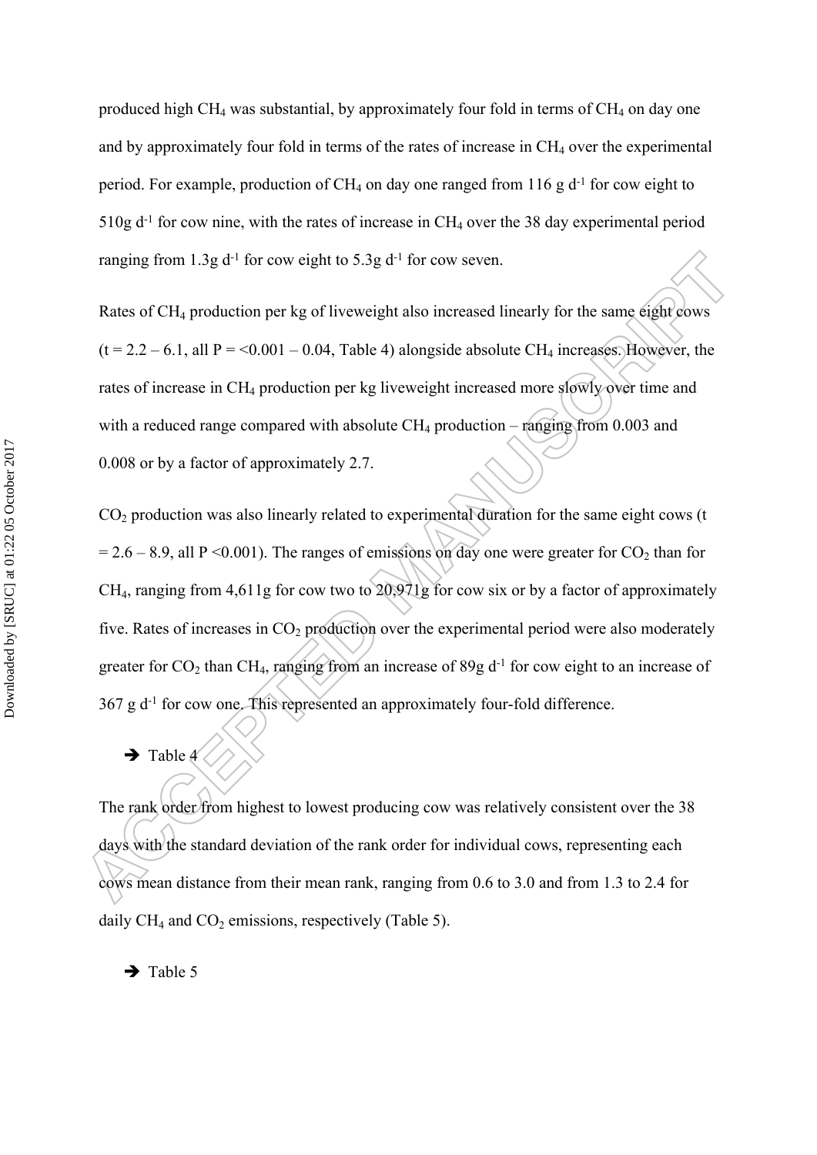produced high  $CH_4$  was substantial, by approximately four fold in terms of  $CH_4$  on day one and by approximately four fold in terms of the rates of increase in CH<sub>4</sub> over the experimental period. For example, production of  $CH_4$  on day one ranged from 116 g  $d^{-1}$  for cow eight to  $510g d<sup>-1</sup>$  for cow nine, with the rates of increase in CH<sub>4</sub> over the 38 day experimental period ranging from  $1.3g$  d<sup>-1</sup> for cow eight to  $5.3g$  d<sup>-1</sup> for cow seven.

Rates of CH<sub>4</sub> production per kg of liveweight also increased linearly for the same eight cows  $(t = 2.2 - 6.1,$  all  $P = 0.001 - 0.04$ , Table 4) alongside absolute CH<sub>4</sub> increases. However, the rates of increase in CH<sub>4</sub> production per kg liveweight increased more slowly over time and with a reduced range compared with absolute  $CH_4$  production – ranging from 0.003 and 0.008 or by a factor of approximately 2.7.

 $CO<sub>2</sub>$  production was also linearly related to experimental duration for the same eight cows (t  $= 2.6 - 8.9$ , all P <0.001). The ranges of emissions on day one were greater for CO<sub>2</sub> than for CH4, ranging from 4,611g for cow two to 20,971g for cow six or by a factor of approximately five. Rates of increases in  $CO<sub>2</sub>$  production over the experimental period were also moderately greater for  $CO_2$  than CH<sub>4</sub>, ranging from an increase of 89g d<sup>-1</sup> for cow eight to an increase of 367 g d-1 for cow one. This represented an approximately four-fold difference.

 $\rightarrow$  Table 4

The rank order from highest to lowest producing cow was relatively consistent over the 38 days with the standard deviation of the rank order for individual cows, representing each cows mean distance from their mean rank, ranging from 0.6 to 3.0 and from 1.3 to 2.4 for daily  $CH_4$  and  $CO_2$  emissions, respectively (Table 5).

 $\rightarrow$  Table 5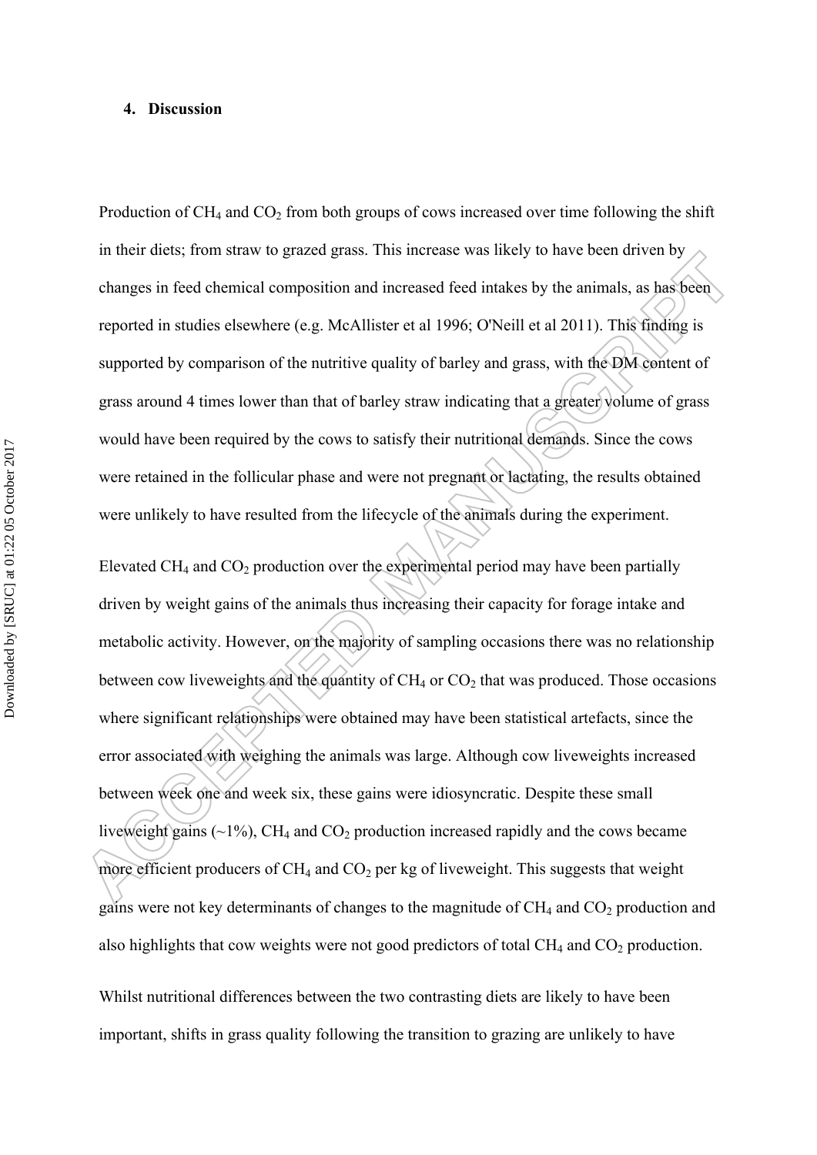#### **4. Discussion**

Production of  $CH_4$  and  $CO_2$  from both groups of cows increased over time following the shift in their diets; from straw to grazed grass. This increase was likely to have been driven by changes in feed chemical composition and increased feed intakes by the animals, as has been reported in studies elsewhere (e.g. McAllister et al 1996; O'Neill et al 2011). This finding is supported by comparison of the nutritive quality of barley and grass, with the DM content of grass around 4 times lower than that of barley straw indicating that a greater volume of grass would have been required by the cows to satisfy their nutritional demands. Since the cows were retained in the follicular phase and were not pregnant or lactating, the results obtained were unlikely to have resulted from the lifecycle of the animals during the experiment.

Elevated CH<sub>4</sub> and CO<sub>2</sub> production over the experimental period may have been partially driven by weight gains of the animals thus increasing their capacity for forage intake and metabolic activity. However, on the majority of sampling occasions there was no relationship between cow liveweights and the quantity of  $CH_4$  or  $CO_2$  that was produced. Those occasions where significant relationships were obtained may have been statistical artefacts, since the error associated with weighing the animals was large. Although cow liveweights increased between week one and week six, these gains were idiosyncratic. Despite these small liveweight gains  $(\sim 1\%)$ , CH<sub>4</sub> and CO<sub>2</sub> production increased rapidly and the cows became more efficient producers of  $CH_4$  and  $CO_2$  per kg of liveweight. This suggests that weight gains were not key determinants of changes to the magnitude of  $CH_4$  and  $CO_2$  production and also highlights that cow weights were not good predictors of total  $CH_4$  and  $CO_2$  production.

Whilst nutritional differences between the two contrasting diets are likely to have been important, shifts in grass quality following the transition to grazing are unlikely to have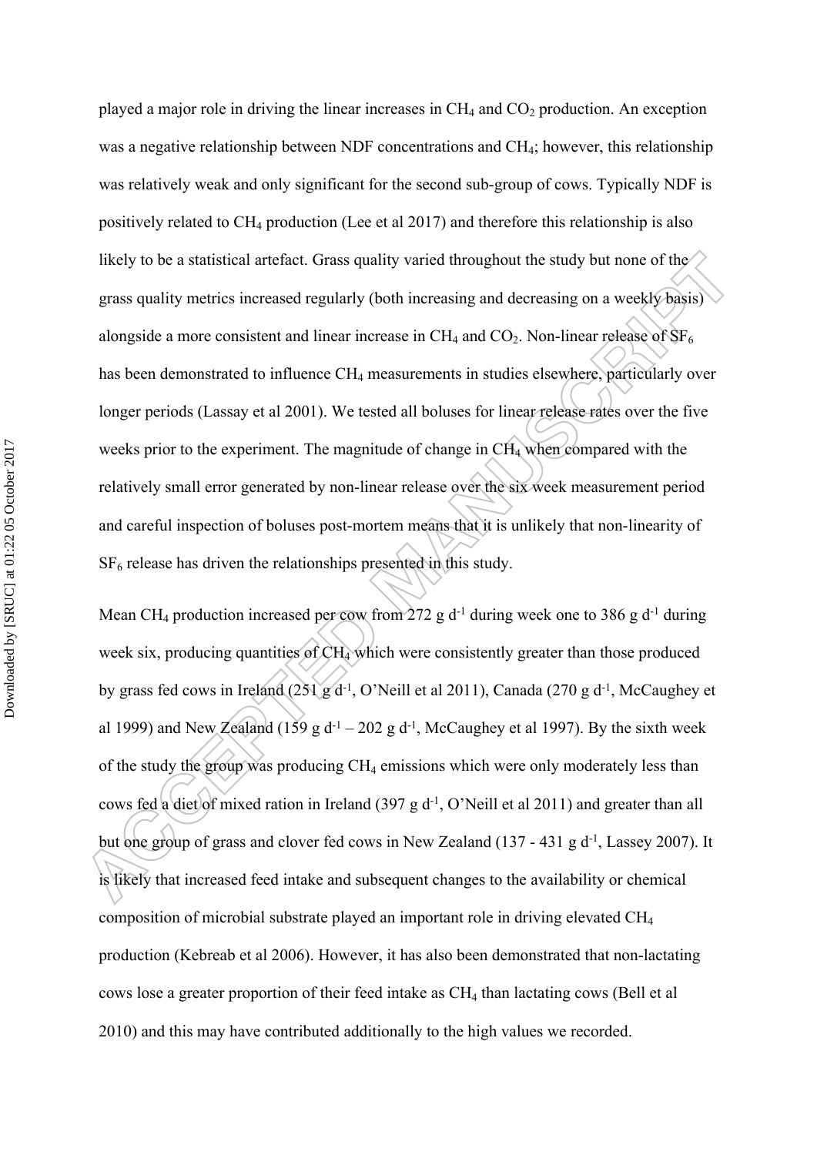played a major role in driving the linear increases in  $CH_4$  and  $CO_2$  production. An exception was a negative relationship between NDF concentrations and CH<sub>4</sub>; however, this relationship was relatively weak and only significant for the second sub-group of cows. Typically NDF is positively related to  $CH_4$  production (Lee et al 2017) and therefore this relationship is also likely to be a statistical artefact. Grass quality varied throughout the study but none of the grass quality metrics increased regularly (both increasing and decreasing on a weekly basis) alongside a more consistent and linear increase in  $CH_4$  and  $CO_2$ . Non-linear release of  $SF_6$ has been demonstrated to influence CH<sub>4</sub> measurements in studies elsewhere, particularly over longer periods (Lassay et al 2001). We tested all boluses for linear release rates over the five weeks prior to the experiment. The magnitude of change in CH<sub>4</sub> when compared with the relatively small error generated by non-linear release over the six week measurement period and careful inspection of boluses post-mortem means that it is unlikely that non-linearity of  $SF<sub>6</sub>$  release has driven the relationships presented in this study.

Mean CH<sub>4</sub> production increased per cow from 272 g d<sup>-1</sup> during week one to 386 g d<sup>-1</sup> during week six, producing quantities of  $CH<sub>4</sub>$  which were consistently greater than those produced by grass fed cows in Ireland  $(251 \text{ g d}^{-1}$ , O'Neill et al 2011), Canada (270 g d<sup>-1</sup>, McCaughey et al 1999) and New Zealand (159 g d<sup>-1</sup> – 202 g d<sup>-1</sup>, McCaughey et al 1997). By the sixth week of the study the group was producing  $CH_4$  emissions which were only moderately less than cows fed a diet of mixed ration in Ireland (397 g  $d^{-1}$ , O'Neill et al 2011) and greater than all but one group of grass and clover fed cows in New Zealand (137 - 431 g  $d^{-1}$ , Lassey 2007). It is likely that increased feed intake and subsequent changes to the availability or chemical composition of microbial substrate played an important role in driving elevated CH<sup>4</sup> production (Kebreab et al 2006). However, it has also been demonstrated that non-lactating cows lose a greater proportion of their feed intake as CH4 than lactating cows (Bell et al 2010) and this may have contributed additionally to the high values we recorded.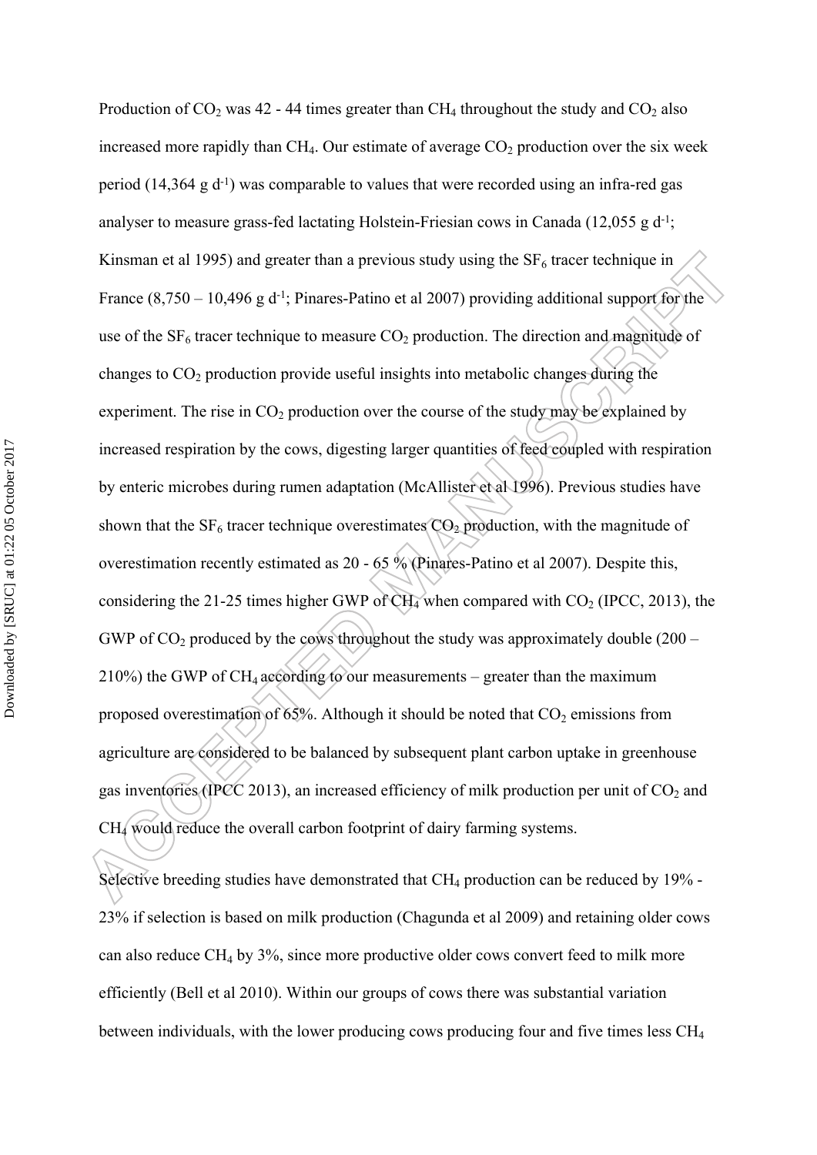Production of  $CO_2$  was 42 - 44 times greater than  $CH_4$  throughout the study and  $CO_2$  also increased more rapidly than  $CH_4$ . Our estimate of average  $CO<sub>2</sub>$  production over the six week period (14,364 g d-1) was comparable to values that were recorded using an infra-red gas analyser to measure grass-fed lactating Holstein-Friesian cows in Canada (12,055 g d-1; Kinsman et al 1995) and greater than a previous study using the  $SF<sub>6</sub>$  tracer technique in France  $(8,750 - 10,496 \text{ g d}^{-1})$ ; Pinares-Patino et al 2007) providing additional support for the use of the  $SF_6$  tracer technique to measure  $CO_2$  production. The direction and magnitude of changes to  $CO<sub>2</sub>$  production provide useful insights into metabolic changes during the experiment. The rise in  $CO_2$  production over the course of the study may be explained by increased respiration by the cows, digesting larger quantities of feed coupled with respiration by enteric microbes during rumen adaptation (McAllister et al 1996). Previous studies have shown that the  $SF_6$  tracer technique overestimates  $CO_2$  production, with the magnitude of overestimation recently estimated as 20 - 65 % (Pinares-Patino et al 2007). Despite this, considering the 21-25 times higher GWP of  $CH_4$  when compared with  $CO_2$  (IPCC, 2013), the GWP of  $CO<sub>2</sub>$  produced by the cows throughout the study was approximately double (200 – 210%) the GWP of CH<sub>4</sub> according to our measurements – greater than the maximum proposed overestimation of 65%. Although it should be noted that  $CO<sub>2</sub>$  emissions from agriculture are considered to be balanced by subsequent plant carbon uptake in greenhouse gas inventories (IPCC 2013), an increased efficiency of milk production per unit of  $CO<sub>2</sub>$  and CH4 would reduce the overall carbon footprint of dairy farming systems.

Selective breeding studies have demonstrated that  $CH_4$  production can be reduced by 19% -23% if selection is based on milk production (Chagunda et al 2009) and retaining older cows can also reduce  $CH_4$  by 3%, since more productive older cows convert feed to milk more efficiently (Bell et al 2010). Within our groups of cows there was substantial variation between individuals, with the lower producing cows producing four and five times less  $CH<sub>4</sub>$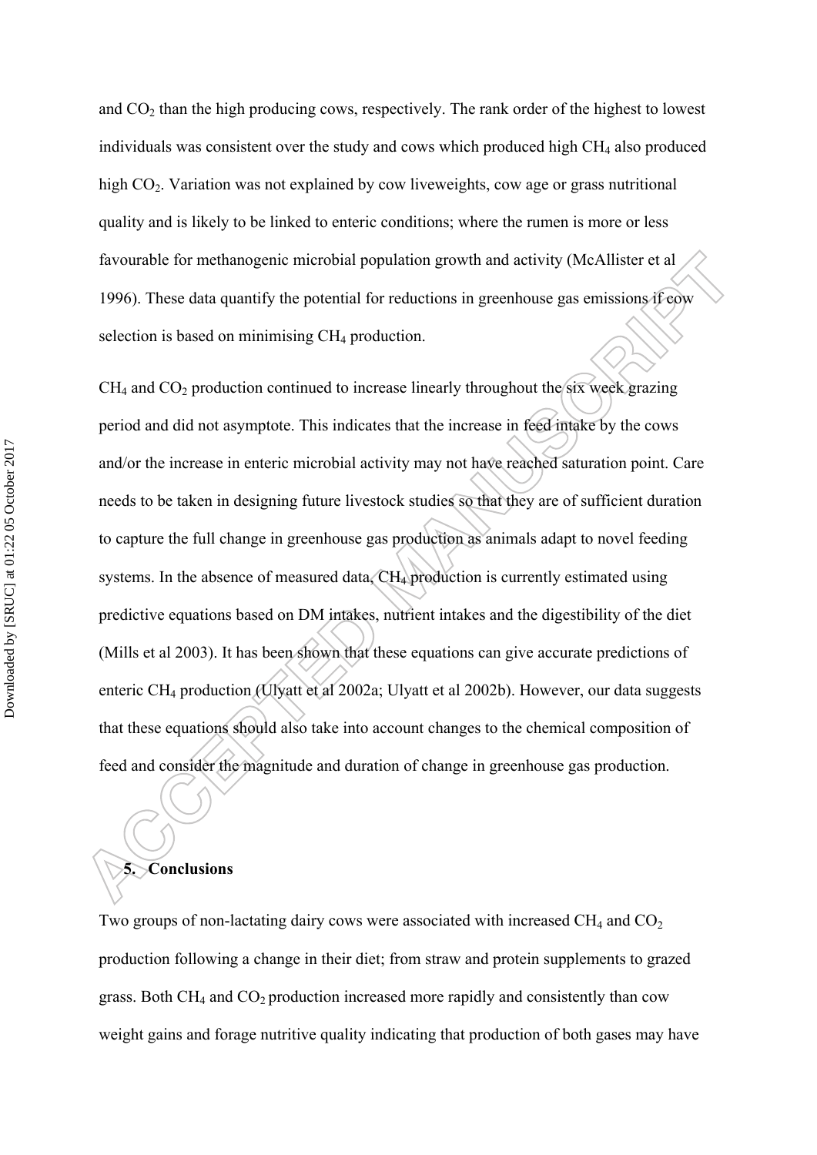and  $CO<sub>2</sub>$  than the high producing cows, respectively. The rank order of the highest to lowest individuals was consistent over the study and cows which produced high  $CH<sub>4</sub>$  also produced high CO<sub>2</sub>. Variation was not explained by cow liveweights, cow age or grass nutritional quality and is likely to be linked to enteric conditions; where the rumen is more or less favourable for methanogenic microbial population growth and activity (McAllister et al 1996). These data quantify the potential for reductions in greenhouse gas emissions if cow selection is based on minimising  $CH<sub>4</sub>$  production.

 $CH<sub>4</sub>$  and  $CO<sub>2</sub>$  production continued to increase linearly throughout the six week grazing period and did not asymptote. This indicates that the increase in feed intake by the cows and/or the increase in enteric microbial activity may not have reached saturation point. Care needs to be taken in designing future livestock studies so that they are of sufficient duration to capture the full change in greenhouse gas production as animals adapt to novel feeding systems. In the absence of measured data, CH<sub>4</sub> production is currently estimated using predictive equations based on DM intakes, nutrient intakes and the digestibility of the diet (Mills et al 2003). It has been shown that these equations can give accurate predictions of enteric CH4 production (Ulyatt et al 2002a; Ulyatt et al 2002b). However, our data suggests that these equations should also take into account changes to the chemical composition of feed and consider the magnitude and duration of change in greenhouse gas production.

# **5. Conclusions**

Two groups of non-lactating dairy cows were associated with increased  $CH_4$  and  $CO_2$ production following a change in their diet; from straw and protein supplements to grazed grass. Both  $CH_4$  and  $CO_2$  production increased more rapidly and consistently than cow weight gains and forage nutritive quality indicating that production of both gases may have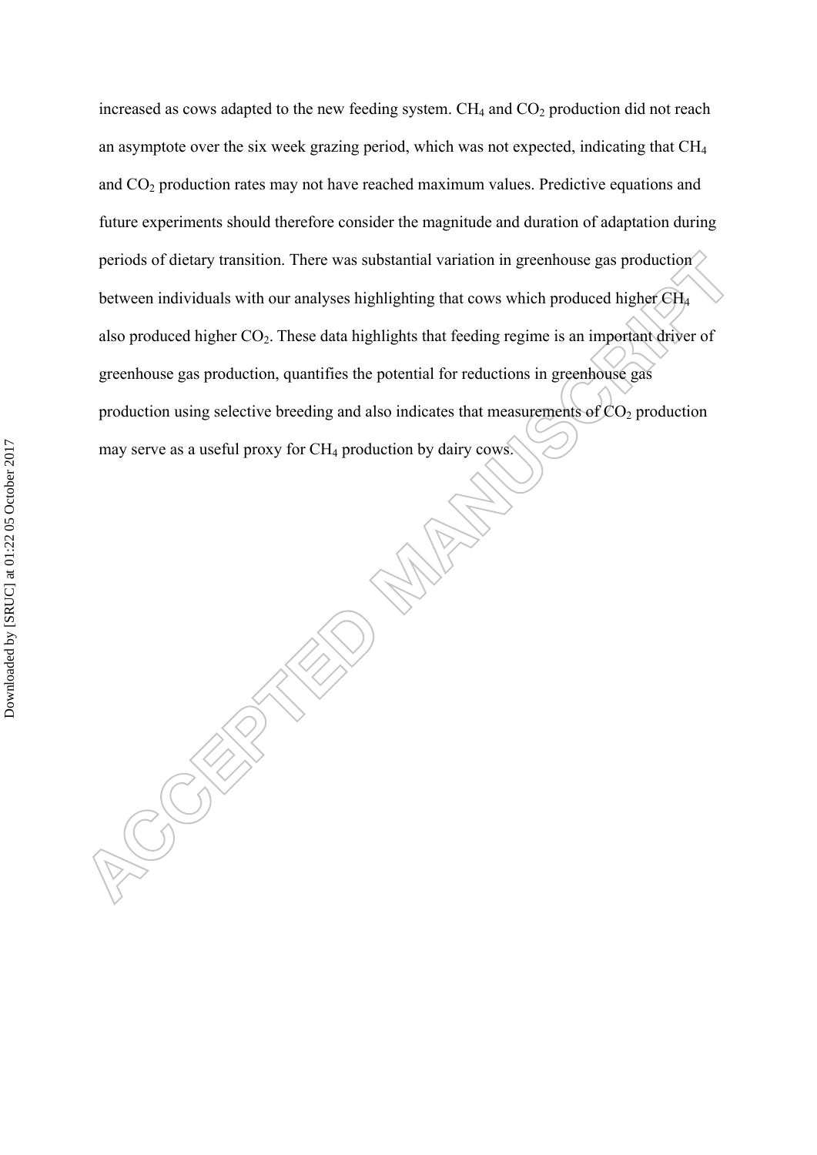increased as cows adapted to the new feeding system.  $CH_4$  and  $CO_2$  production did not reach an asymptote over the six week grazing period, which was not expected, indicating that CH<sup>4</sup> and  $CO<sub>2</sub>$  production rates may not have reached maximum values. Predictive equations and future experiments should therefore consider the magnitude and duration of adaptation during periods of dietary transition. There was substantial variation in greenhouse gas production between individuals with our analyses highlighting that cows which produced higher CH<sup>4</sup> also produced higher  $CO<sub>2</sub>$ . These data highlights that feeding regime is an important driver of greenhouse gas production, quantifies the potential for reductions in greenhouse gas production using selective breeding and also indicates that measurements of  $CO<sub>2</sub>$  production may serve as a useful proxy for CH4 production by dairy cows.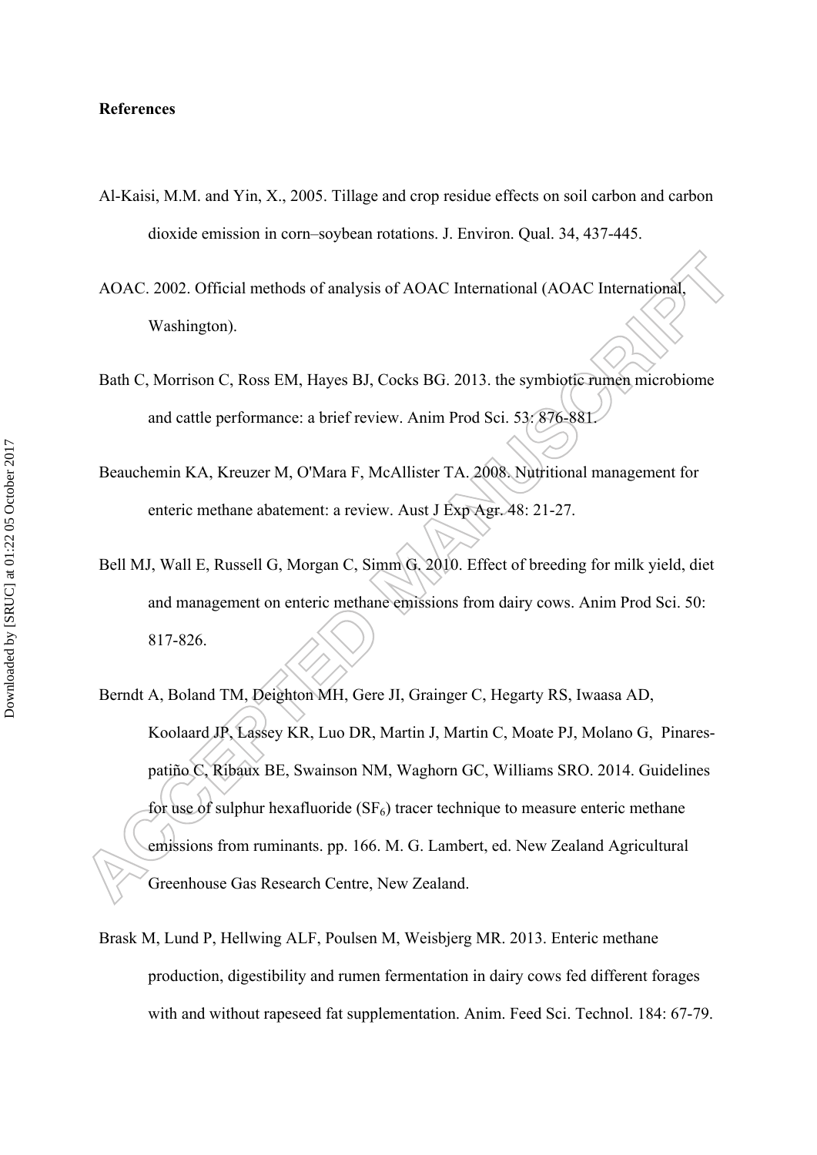#### **References**

- Al-Kaisi, M.M. and Yin, X., 2005. Tillage and crop residue effects on soil carbon and carbon dioxide emission in corn–soybean rotations. J. Environ. Qual. 34, 437-445.
- AOAC. 2002. Official methods of analysis of AOAC International (AOAC International, Washington).
- Bath C, Morrison C, Ross EM, Hayes BJ, Cocks BG. 2013. the symbiotic rumen microbiome and cattle performance: a brief review. Anim Prod Sci. 53: 876-881.
- Beauchemin KA, Kreuzer M, O'Mara F, McAllister TA. 2008. Nutritional management for enteric methane abatement: a review. Aust J Exp Agr. 48: 21-27.
- Bell MJ, Wall E, Russell G, Morgan C, Simm G. 2010. Effect of breeding for milk yield, diet and management on enteric methane emissions from dairy cows. Anim Prod Sci. 50: 817-826.
- Berndt A, Boland TM, Deighton MH, Gere JI, Grainger C, Hegarty RS, Iwaasa AD, Koolaard JP, Lassey KR, Luo DR, Martin J, Martin C, Moate PJ, Molano G, Pinarespatiño C, Ribaux BE, Swainson NM, Waghorn GC, Williams SRO. 2014. Guidelines for use of sulphur hexafluoride  $(SF_6)$  tracer technique to measure enteric methane emissions from ruminants. pp. 166. M. G. Lambert, ed. New Zealand Agricultural Greenhouse Gas Research Centre, New Zealand.
- Brask M, Lund P, Hellwing ALF, Poulsen M, Weisbjerg MR. 2013. Enteric methane production, digestibility and rumen fermentation in dairy cows fed different forages with and without rapeseed fat supplementation. Anim. Feed Sci. Technol. 184: 67-79.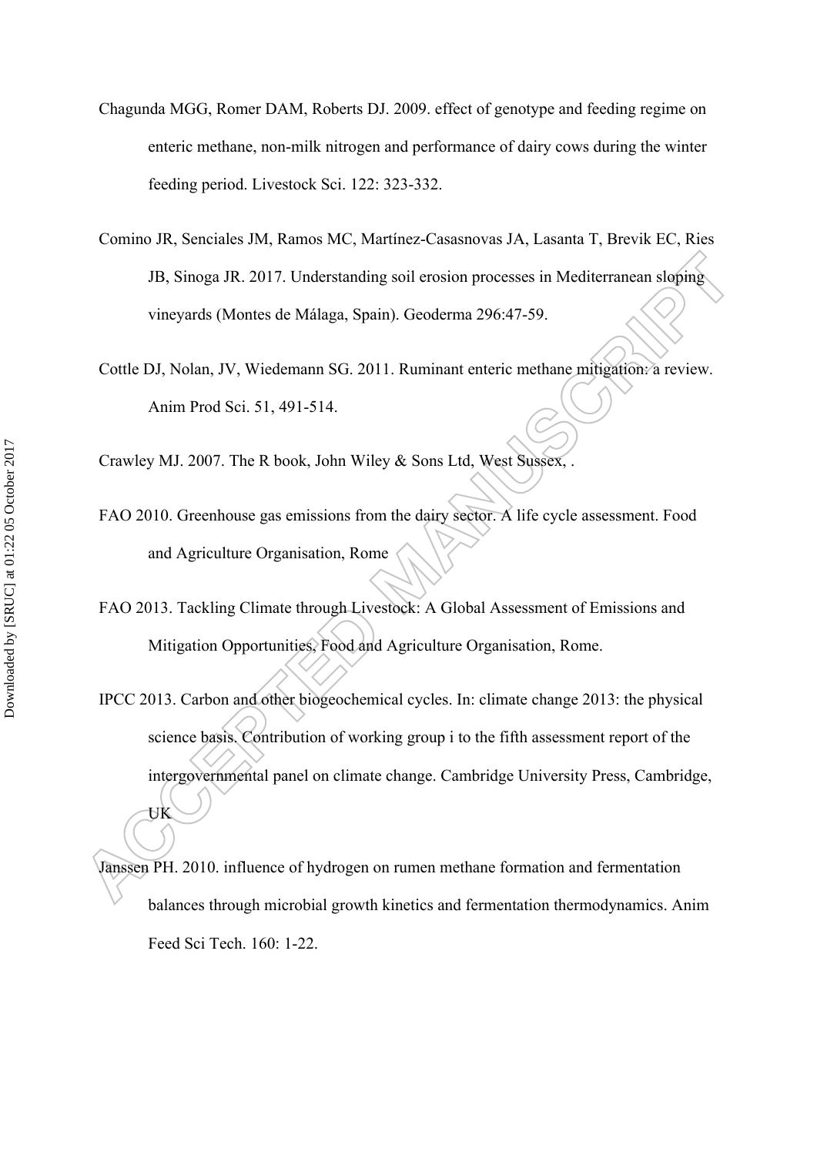- Chagunda MGG, Romer DAM, Roberts DJ. 2009. effect of genotype and feeding regime on enteric methane, non-milk nitrogen and performance of dairy cows during the winter feeding period. Livestock Sci. 122: 323-332.
- Comino JR, Senciales JM, Ramos MC, Martínez-Casasnovas JA, Lasanta T, Brevik EC, Ries JB, Sinoga JR. 2017. Understanding soil erosion processes in Mediterranean sloping vineyards (Montes de Málaga, Spain). Geoderma 296:47-59.
- Cottle DJ, Nolan, JV, Wiedemann SG. 2011. Ruminant enteric methane mitigation: a review. Anim Prod Sci. 51, 491-514.

Crawley MJ. 2007. The R book, John Wiley & Sons Ltd, West Sussex

- FAO 2010. Greenhouse gas emissions from the dairy sector. A life cycle assessment. Food and Agriculture Organisation, Rome
- FAO 2013. Tackling Climate through Livestock: A Global Assessment of Emissions and Mitigation Opportunities, Food and Agriculture Organisation, Rome.

IPCC 2013. Carbon and other biogeochemical cycles. In: climate change 2013: the physical science basis. Contribution of working group i to the fifth assessment report of the intergovernmental panel on climate change. Cambridge University Press, Cambridge,

Janssen PH. 2010. influence of hydrogen on rumen methane formation and fermentation balances through microbial growth kinetics and fermentation thermodynamics. Anim Feed Sci Tech. 160: 1-22.

UK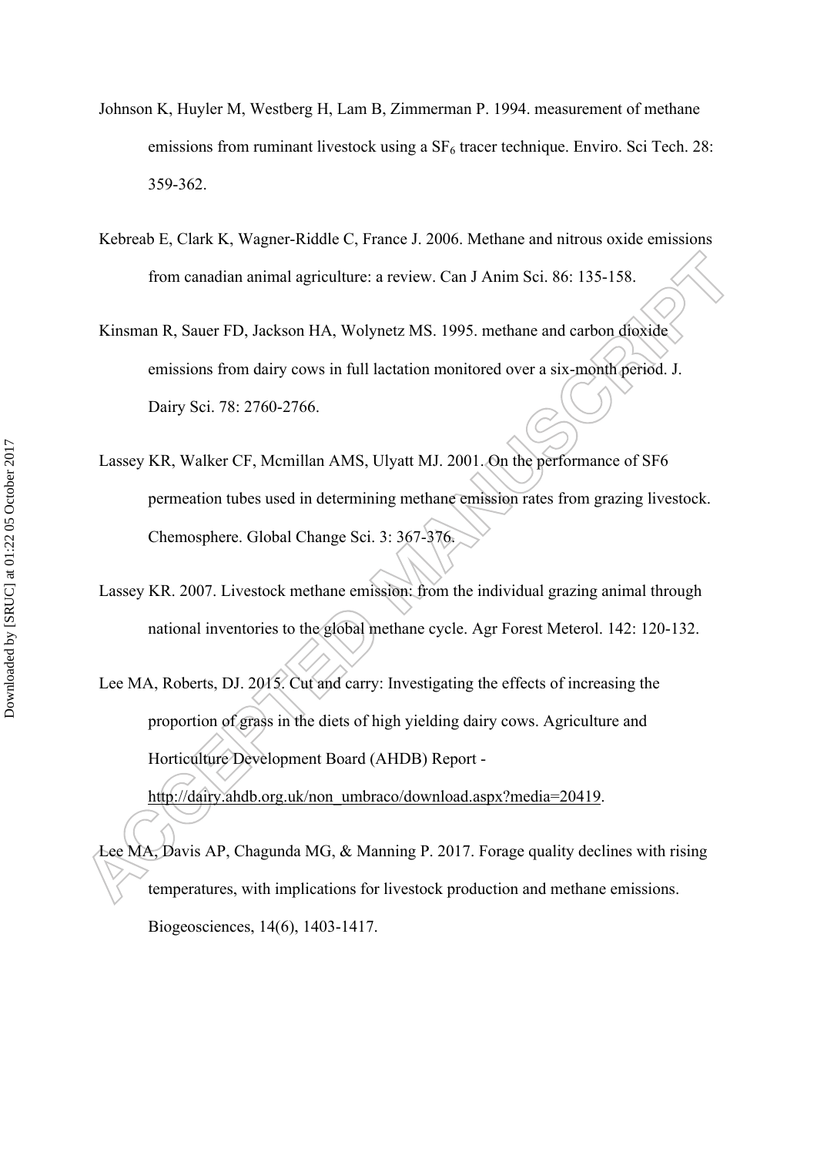- Johnson K, Huyler M, Westberg H, Lam B, Zimmerman P. 1994. measurement of methane emissions from ruminant livestock using a  $SF<sub>6</sub>$  tracer technique. Enviro. Sci Tech. 28: 359-362.
- Kebreab E, Clark K, Wagner-Riddle C, France J. 2006. Methane and nitrous oxide emissions from canadian animal agriculture: a review. Can J Anim Sci. 86: 135-158.
- Kinsman R, Sauer FD, Jackson HA, Wolynetz MS. 1995. methane and carbon dioxide emissions from dairy cows in full lactation monitored over a six-month period. J. Dairy Sci. 78: 2760-2766.
- Lassey KR, Walker CF, Mcmillan AMS, Ulyatt MJ. 2001. On the performance of SF6 permeation tubes used in determining methane emission rates from grazing livestock. Chemosphere. Global Change Sci. 3: 367-376.
- Lassey KR. 2007. Livestock methane emission: from the individual grazing animal through national inventories to the global methane cycle. Agr Forest Meterol. 142: 120-132.
- Lee MA, Roberts, DJ. 2015. Cut and carry: Investigating the effects of increasing the proportion of grass in the diets of high yielding dairy cows. Agriculture and Horticulture Development Board (AHDB) Report -

[http://dairy.ahdb.org.uk/non\\_umbraco/download.aspx?media=20419](http://dairy.ahdb.org.uk/non_umbraco/download.aspx?media=20419).

Lee MA, Davis AP, Chagunda MG, & Manning P. 2017. Forage quality declines with rising temperatures, with implications for livestock production and methane emissions. Biogeosciences, 14(6), 1403-1417.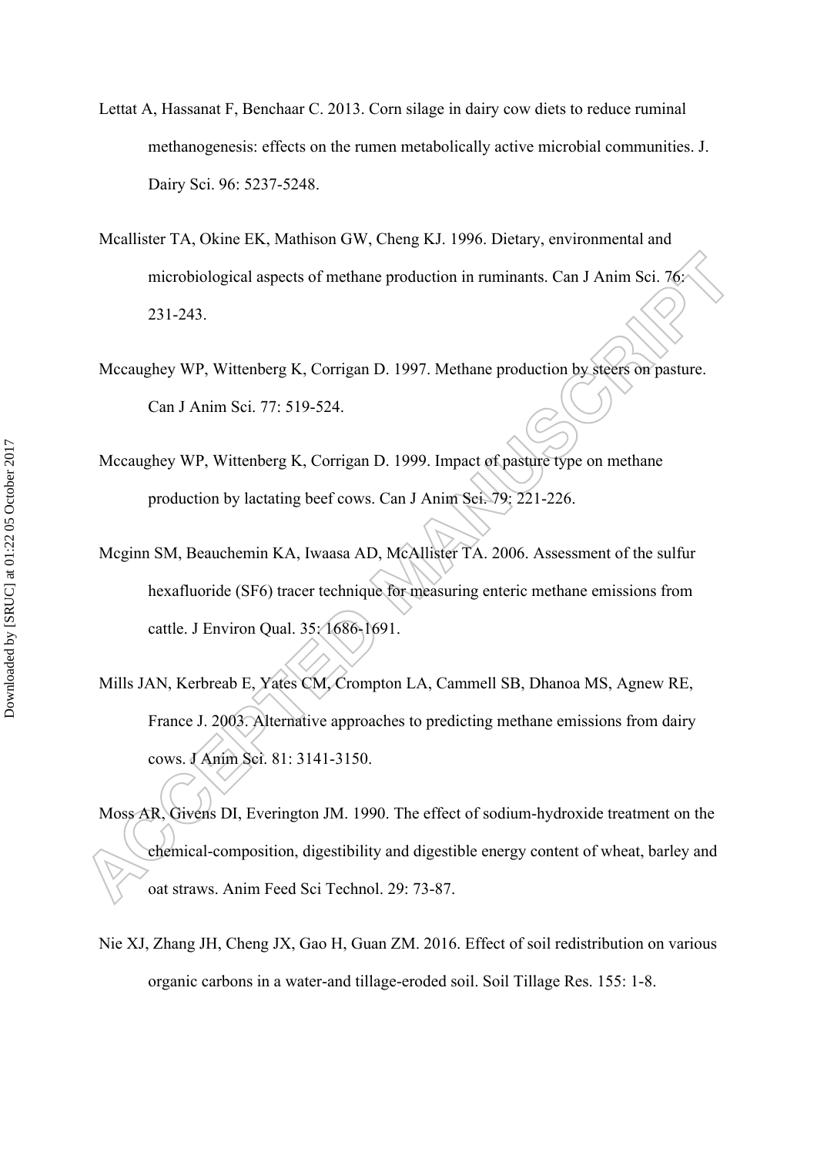- Lettat A, Hassanat F, Benchaar C. 2013. Corn silage in dairy cow diets to reduce ruminal methanogenesis: effects on the rumen metabolically active microbial communities. J. Dairy Sci. 96: 5237-5248.
- Mcallister TA, Okine EK, Mathison GW, Cheng KJ. 1996. Dietary, environmental and microbiological aspects of methane production in ruminants. Can J Anim Sci. 76: 231-243.
- Mccaughey WP, Wittenberg K, Corrigan D. 1997. Methane production by steers on pasture. Can J Anim Sci. 77: 519-524.
- Mccaughey WP, Wittenberg K, Corrigan D. 1999. Impact of pasture type on methane production by lactating beef cows. Can J Anim Sci. 79: 221-226.
- Mcginn SM, Beauchemin KA, Iwaasa AD, McAllister TA. 2006. Assessment of the sulfur hexafluoride (SF6) tracer technique for measuring enteric methane emissions from cattle. J Environ Qual. 35: 1686-1691.
- Mills JAN, Kerbreab E, Yates CM, Crompton LA, Cammell SB, Dhanoa MS, Agnew RE, France J. 2003. Alternative approaches to predicting methane emissions from dairy cows. J Anim Sci. 81: 3141-3150.
- Moss AR, Givens DI, Everington JM. 1990. The effect of sodium-hydroxide treatment on the chemical-composition, digestibility and digestible energy content of wheat, barley and oat straws. Anim Feed Sci Technol. 29: 73-87.
- Nie XJ, Zhang JH, Cheng JX, Gao H, Guan ZM. 2016. Effect of soil redistribution on various organic carbons in a water-and tillage-eroded soil. Soil Tillage Res. 155: 1-8.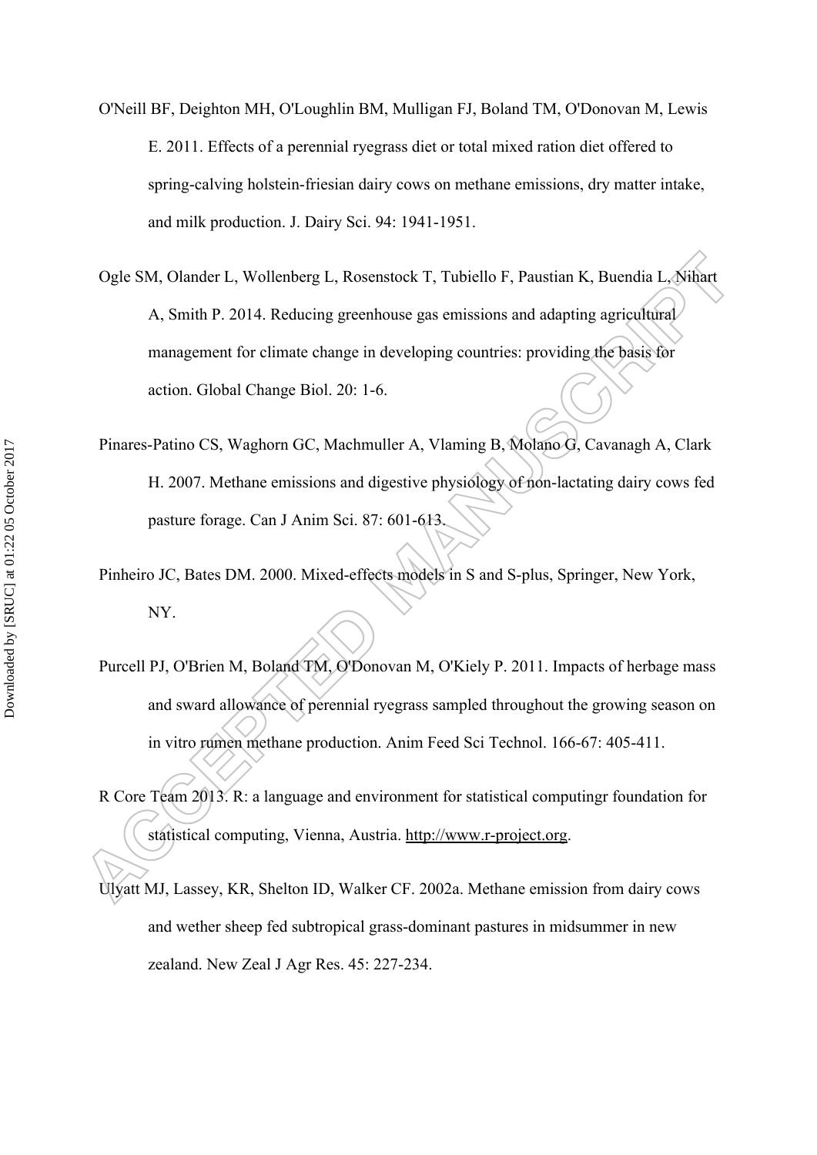- O'Neill BF, Deighton MH, O'Loughlin BM, Mulligan FJ, Boland TM, O'Donovan M, Lewis E. 2011. Effects of a perennial ryegrass diet or total mixed ration diet offered to spring-calving holstein-friesian dairy cows on methane emissions, dry matter intake, and milk production. J. Dairy Sci. 94: 1941-1951.
- Ogle SM, Olander L, Wollenberg L, Rosenstock T, Tubiello F, Paustian K, Buendia L, Nihart A, Smith P. 2014. Reducing greenhouse gas emissions and adapting agricultural management for climate change in developing countries: providing the basis for action. Global Change Biol. 20: 1-6.
- Pinares-Patino CS, Waghorn GC, Machmuller A, Vlaming B, Molano G, Cavanagh A, Clark H. 2007. Methane emissions and digestive physiology of non-lactating dairy cows fed pasture forage. Can J Anim Sci. 87: 601-613.
- Pinheiro JC, Bates DM. 2000. Mixed-effects models in S and S-plus, Springer, New York, NY.
- Purcell PJ, O'Brien M, Boland TM, O'Donovan M, O'Kiely P. 2011. Impacts of herbage mass and sward allowance of perennial ryegrass sampled throughout the growing season on in vitro rumen methane production. Anim Feed Sci Technol. 166-67: 405-411.
- R Core Team 2013. R: a language and environment for statistical computingr foundation for statistical computing, Vienna, Austria. [http://www.r-project.org.](http://www.r-project.org)
- Ulyatt MJ, Lassey, KR, Shelton ID, Walker CF. 2002a. Methane emission from dairy cows and wether sheep fed subtropical grass-dominant pastures in midsummer in new zealand. New Zeal J Agr Res. 45: 227-234.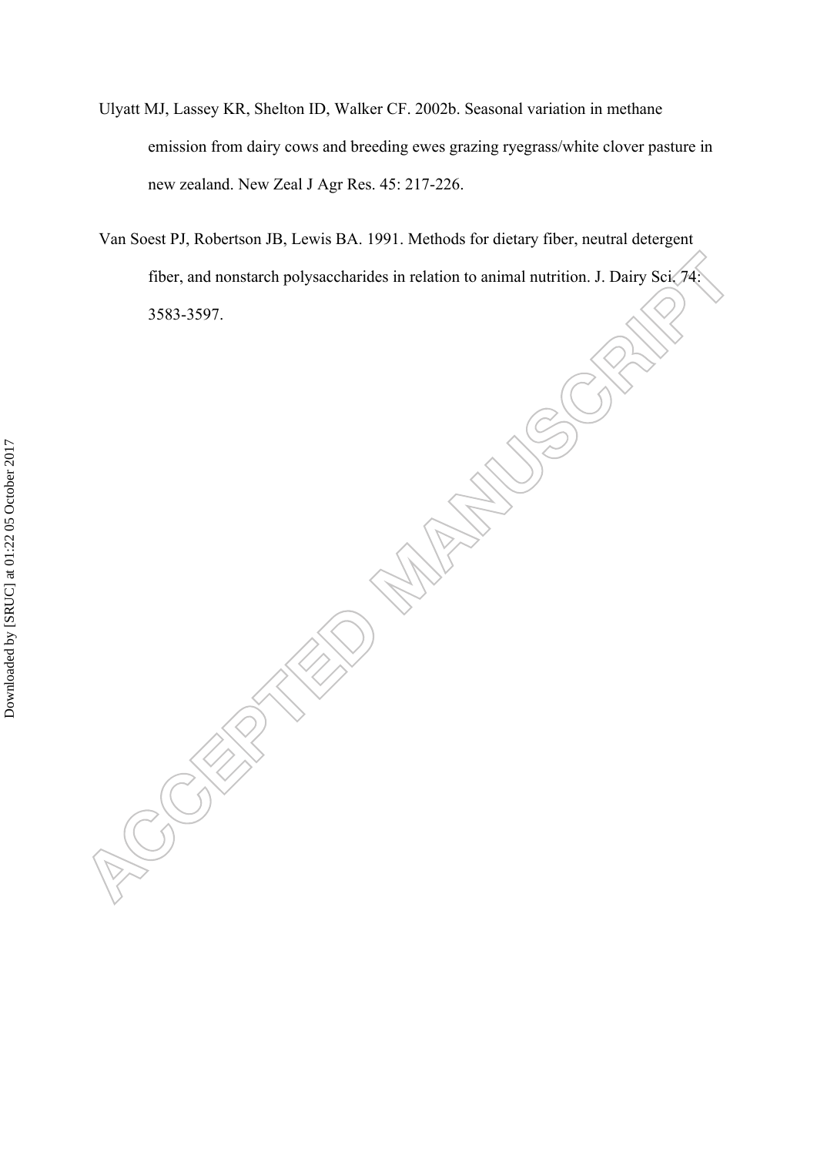- Ulyatt MJ, Lassey KR, Shelton ID, Walker CF. 2002b. Seasonal variation in methane emission from dairy cows and breeding ewes grazing ryegrass/white clover pasture in new zealand. New Zeal J Agr Res. 45: 217-226.
- Van Soest PJ, Robertson JB, Lewis BA. 1991. Methods for dietary fiber, neutral detergent fiber, and nonstarch polysaccharides in relation to animal nutrition. J. Dairy Sci. 74: 3583-3597.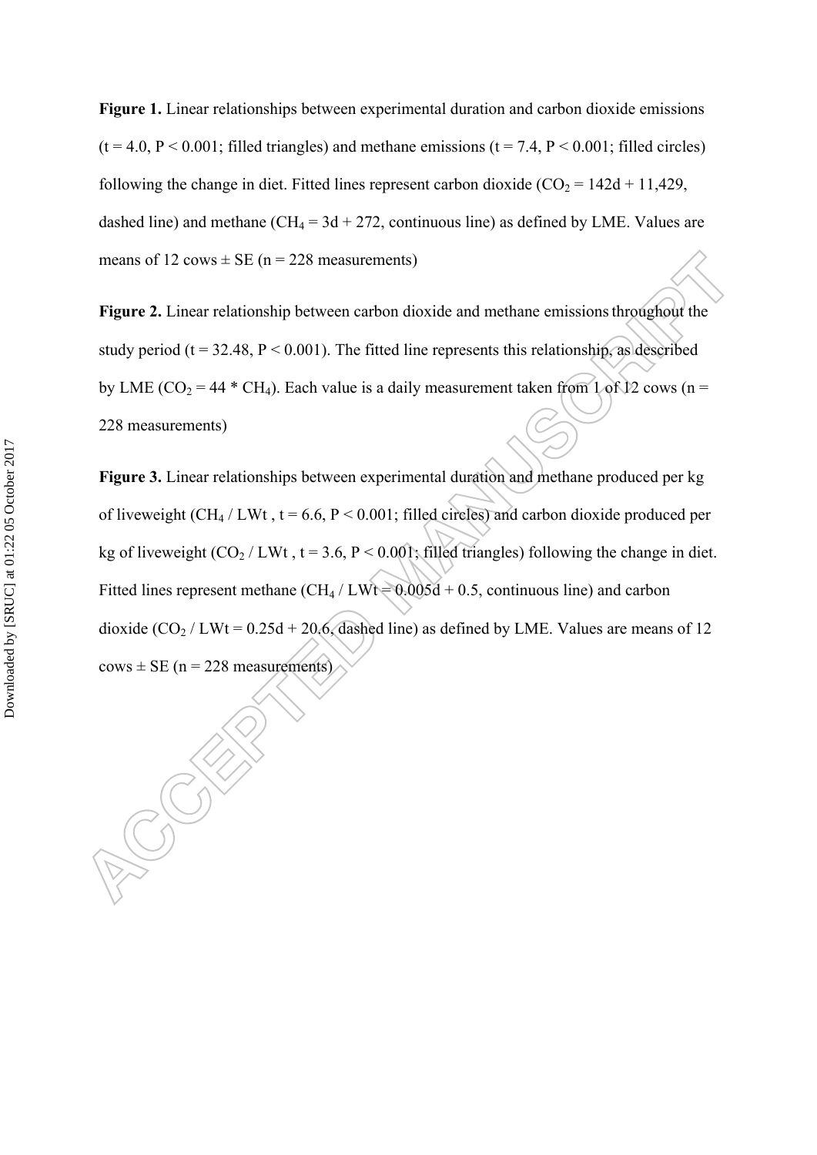**Figure 1.** Linear relationships between experimental duration and carbon dioxide emissions  $(t = 4.0, P < 0.001$ ; filled triangles) and methane emissions  $(t = 7.4, P < 0.001$ ; filled circles) following the change in diet. Fitted lines represent carbon dioxide  $(CO_2 = 142d + 11,429,$ dashed line) and methane (CH<sub>4</sub> =  $3d + 272$ , continuous line) as defined by LME. Values are means of 12 cows  $\pm$  SE (n = 228 measurements)

**Figure 2.** Linear relationship between carbon dioxide and methane emissions throughout the study period ( $t = 32.48$ ,  $P < 0.001$ ). The fitted line represents this relationship, as described by LME ( $CO_2 = 44$  \* CH<sub>4</sub>). Each value is a daily measurement taken from 1 of 12 cows (n = 228 measurements)

**Figure 3.** Linear relationships between experimental duration and methane produced per kg of liveweight (CH<sub>4</sub> / LWt,  $t = 6.6$ ,  $P < 0.001$ ; filled circles) and carbon dioxide produced per kg of liveweight  $(CO_2 / LWt$ ,  $t = 3.6$ ,  $P < 0.001$ ; filled triangles) following the change in diet. Fitted lines represent methane  $\left( \frac{CH_4}{LWt} \right) = 0.005d + 0.5$ , continuous line) and carbon dioxide  $(CO_2 / LW = 0.25d + 20.6$ , dashed line) as defined by LME. Values are means of 12  $cows \pm SE$  (n = 228 measurements)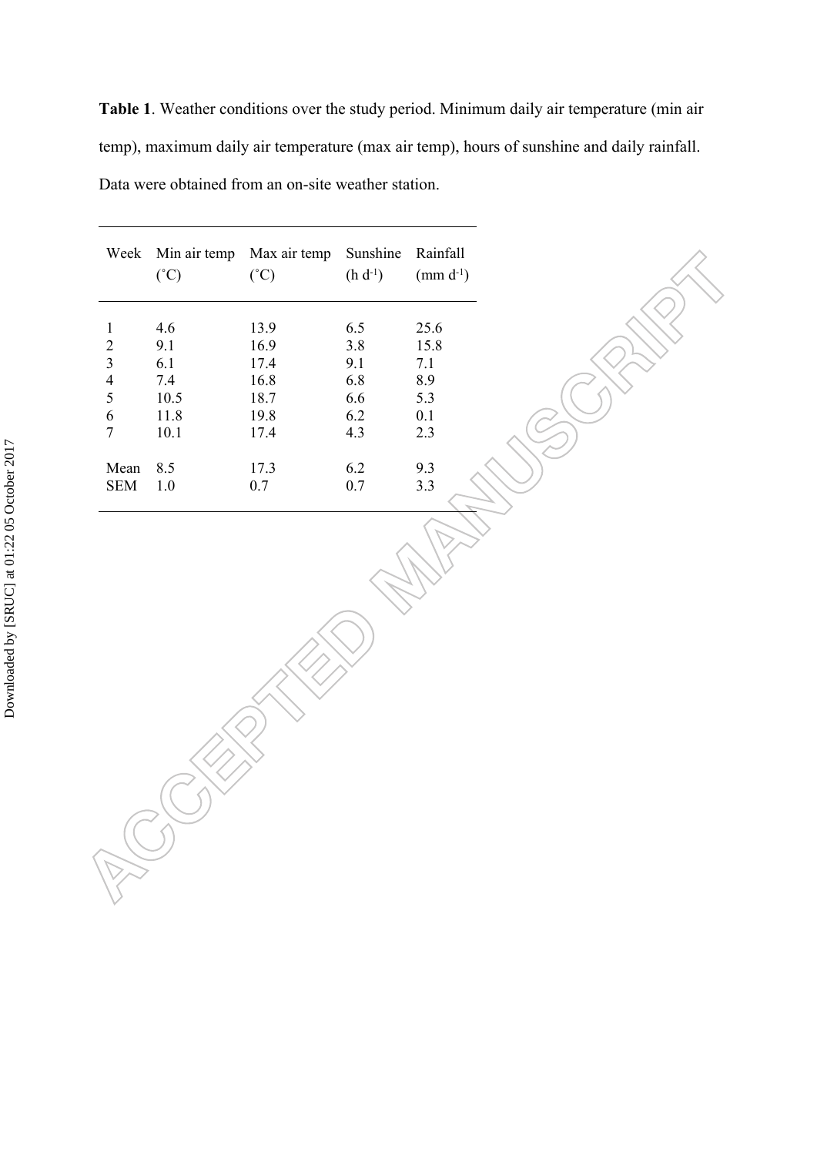**Table 1**. Weather conditions over the study period. Minimum daily air temperature (min air temp), maximum daily air temperature (max air temp), hours of sunshine and daily rainfall. Data were obtained from an on-site weather station.

|                | Week Min air temp<br>$(^{\circ}C)$ | Max air temp<br>(°C) | Sunshine<br>$(h d^{-1})$ | Rainfall<br>(mm $d^{-1}$ ) |
|----------------|------------------------------------|----------------------|--------------------------|----------------------------|
|                | 4.6                                | 13.9                 | 6.5                      | 25.6                       |
| $\overline{2}$ | 9.1                                | 16.9                 | 3.8                      | 15.8                       |
| 3              | 6.1                                | 17.4                 | 9.1                      | 7.1                        |
| $\overline{4}$ | 7.4                                | 16.8                 | 6.8                      | 8.9                        |
| 5              | 10.5                               | 18.7                 | 6.6                      | 5.3                        |
| 6              | 11.8                               | 19.8                 | 6.2                      | 0.1                        |
| 7              | 10.1                               | 17.4                 | 4.3                      | 2.3                        |
| Mean           | 8.5                                | 17.3                 | 6.2                      | 9.3                        |
| <b>SEM</b>     | 1.0                                | 0.7                  | 0.7                      | 3.3                        |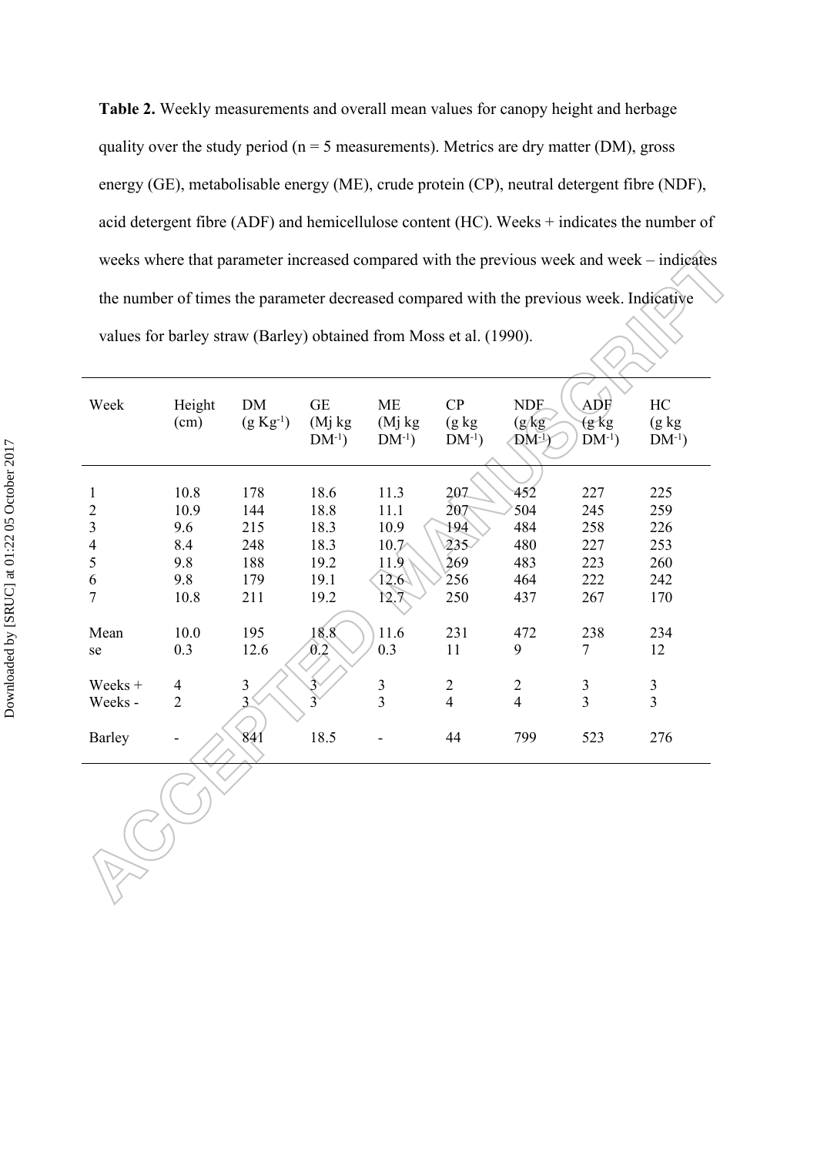**Table 2.** Weekly measurements and overall mean values for canopy height and herbage quality over the study period ( $n = 5$  measurements). Metrics are dry matter (DM), gross energy (GE), metabolisable energy (ME), crude protein (CP), neutral detergent fibre (NDF), acid detergent fibre (ADF) and hemicellulose content (HC). Weeks + indicates the number of weeks where that parameter increased compared with the previous week and week – indicates the number of times the parameter decreased compared with the previous week. Indicative values for barley straw (Barley) obtained from Moss et al. (1990).

| Week                     | Height<br>(cm) | <b>DM</b><br>$(g Kg^{-1})$ | <b>GE</b><br>(M <sub>i</sub> kg)<br>$DM^{-1}$ ) | <b>ME</b><br>(Mj kg)<br>$DM^{-1}$ ) | CP<br>$(g \; kg)$<br>$DM^{-1}$ ) | <b>NDF</b><br>(g/kg)<br>$DM-1$ | ADF<br>$(g \ kg)$<br>$DM^{-1}$ ) | HC<br>$(g \; kg)$<br>$DM^{-1}$ ) |
|--------------------------|----------------|----------------------------|-------------------------------------------------|-------------------------------------|----------------------------------|--------------------------------|----------------------------------|----------------------------------|
|                          |                |                            |                                                 |                                     |                                  |                                |                                  |                                  |
| 1                        | 10.8           | 178                        | 18.6                                            | 11.3                                | 207                              | 452                            | 227                              | 225                              |
| $\overline{2}$           | 10.9           | 144                        | 18.8                                            | 11.1                                | 207                              | 504                            | 245                              | 259                              |
| $\mathfrak{Z}$           | 9.6            | 215                        | 18.3                                            | 10.9                                | 194                              | 484                            | 258                              | 226                              |
| $\overline{\mathcal{A}}$ | 8.4            | 248                        | 18.3                                            | $10.7\triangle$                     | 235.                             | 480                            | 227                              | 253                              |
| 5                        | 9.8            | 188                        | 19.2                                            | 11.9                                | 269                              | 483                            | 223                              | 260                              |
| 6                        | 9.8            | 179                        | 19.1                                            | $12.6\sqrt{ }$                      | 256                              | 464                            | 222                              | 242                              |
| 7                        | 10.8           | 211                        | 19.2                                            | 12.7                                | 250                              | 437                            | 267                              | 170                              |
|                          |                |                            |                                                 |                                     |                                  |                                |                                  |                                  |
| Mean                     | 10.0           | 195                        | 18.8                                            | 11.6                                | 231                              | 472                            | 238                              | 234                              |
| se                       | 0.3            | 12.6                       | 0.2                                             | 0.3                                 | 11                               | 9                              | 7                                | 12                               |
| Weeks +                  | $\overline{4}$ | $\overline{3}$             | 3                                               | $\mathfrak{Z}$                      | $\overline{2}$                   | $\overline{2}$                 | $\mathfrak{Z}$                   |                                  |
|                          | $\overline{2}$ | 3                          |                                                 | $\overline{3}$                      |                                  | $\overline{4}$                 | $\overline{3}$                   | $\frac{3}{3}$                    |
| Weeks -                  |                |                            |                                                 |                                     | $\overline{4}$                   |                                |                                  |                                  |
| <b>Barley</b>            |                | 841                        | 18.5                                            |                                     | 44                               | 799                            | 523                              | 276                              |
|                          |                |                            |                                                 |                                     |                                  |                                |                                  |                                  |
|                          |                |                            |                                                 |                                     |                                  |                                |                                  |                                  |

RU V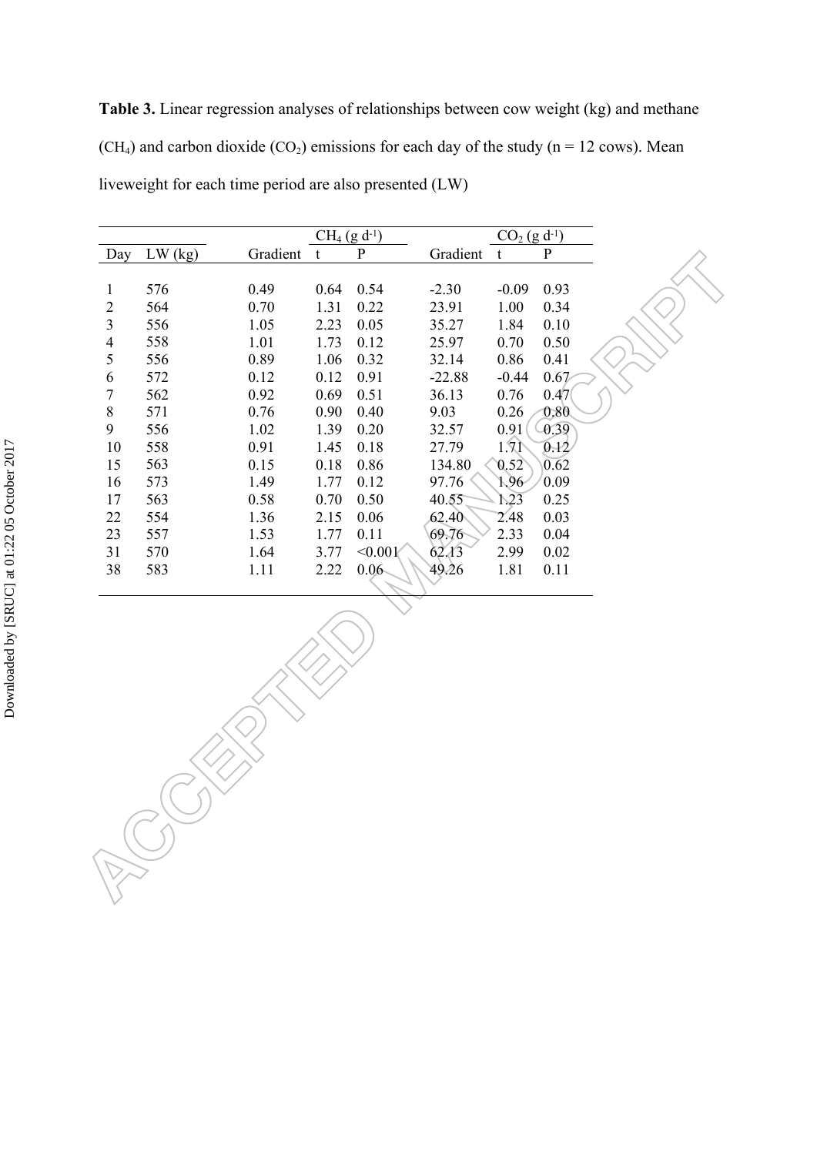**Table 3.** Linear regression analyses of relationships between cow weight (kg) and methane (CH<sub>4</sub>) and carbon dioxide (CO<sub>2</sub>) emissions for each day of the study (n = 12 cows). Mean liveweight for each time period are also presented (LW)

|                |           |          | $CH_4$ (g d <sup>-1</sup> ) |             |          | $CO2$ (g d <sup>-1</sup> ) |             |
|----------------|-----------|----------|-----------------------------|-------------|----------|----------------------------|-------------|
| Day            | $LW$ (kg) | Gradient | t                           | $\mathbf P$ | Gradient | t                          | $\mathbf P$ |
|                |           |          |                             |             |          |                            |             |
|                | 576       | 0.49     | 0.64                        | 0.54        | $-2.30$  | $-0.09$                    | 0.93        |
| 2              | 564       | 0.70     | 1.31                        | 0.22        | 23.91    | 1.00                       | 0.34        |
| 3              | 556       | 1.05     | 2.23                        | 0.05        | 35.27    | 1.84                       | 0.10        |
| $\overline{4}$ | 558       | 1.01     | 1.73                        | 0.12        | 25.97    | 0.70                       | 0.50        |
| 5              | 556       | 0.89     | 1.06                        | 0.32        | 32.14    | 0.86                       | 0.41        |
| 6              | 572       | 0.12     | 0.12                        | 0.91        | $-22.88$ | $-0.44$                    | 0.67        |
| 7              | 562       | 0.92     | 0.69                        | 0.51        | 36.13    | 0.76                       | 0.47        |
| 8              | 571       | 0.76     | 0.90                        | 0.40        | 9.03     | 0.26                       | 0.80        |
| 9              | 556       | 1.02     | 1.39                        | 0.20        | 32.57    | 0.91                       | 0.39        |
| 10             | 558       | 0.91     | 1.45                        | 0.18        | 27.79    | 1.71                       | 0.12        |
| 15             | 563       | 0.15     | 0.18                        | 0.86        | 134.80   | 0.52                       | 0.62        |
| 16             | 573       | 1.49     | 1.77                        | 0.12        | 97.76    | 1.96                       | 0.09        |
| 17             | 563       | 0.58     | 0.70                        | 0.50        | 40.55    | 1.23                       | 0.25        |
| 22             | 554       | 1.36     | 2.15                        | 0.06        | 62.40    | 2.48                       | 0.03        |
| 23             | 557       | 1.53     | 1.77                        | 0.11        | 69.76    | 2.33                       | 0.04        |
| 31             | 570       | 1.64     | 3.77                        | < 0.001     | 62.13    | 2.99                       | 0.02        |
| 38             | 583       | 1.11     | 2.22                        | $0.06 -$    | 49.26    | 1.81                       | 0.11        |
|                |           |          |                             |             |          |                            |             |

**CONTROLLER**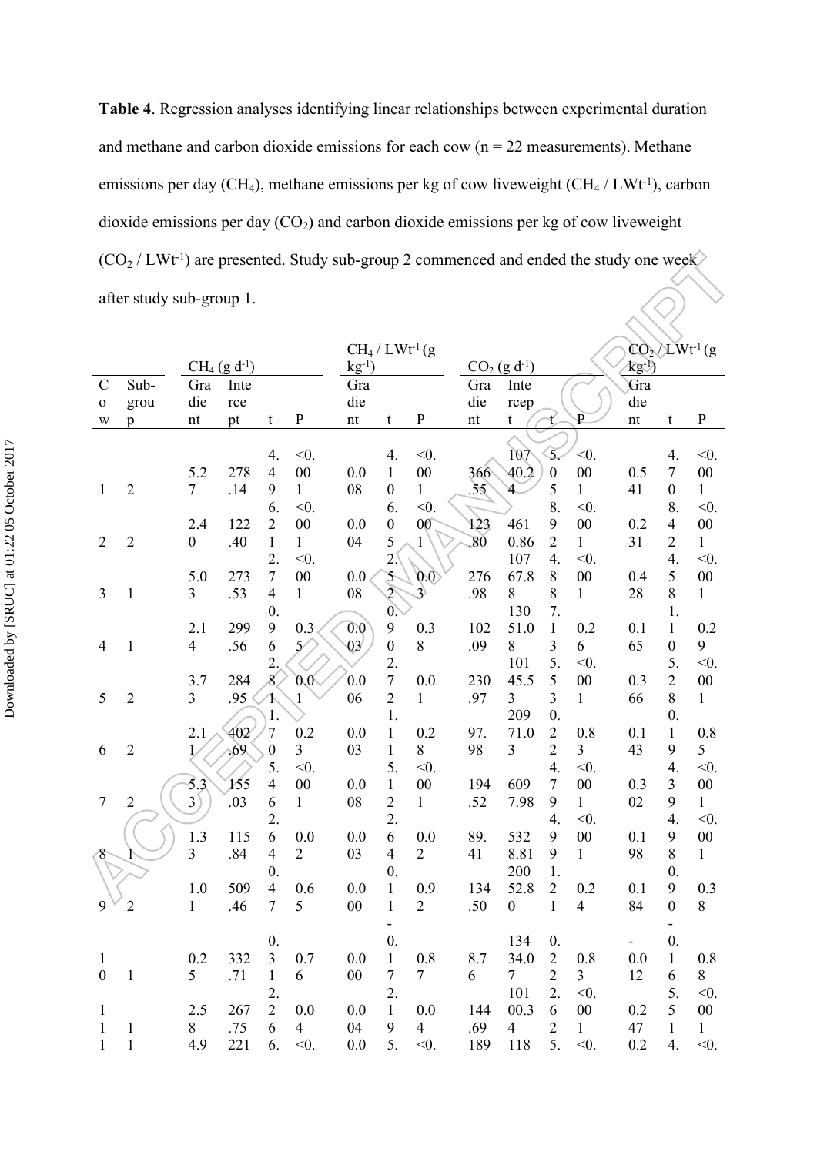**Table 4**. Regression analyses identifying linear relationships between experimental duration and methane and carbon dioxide emissions for each cow  $(n = 22$  measurements). Methane emissions per day (CH<sub>4</sub>), methane emissions per kg of cow liveweight (CH<sub>4</sub> / LWt<sup>-1</sup>), carbon dioxide emissions per day  $(CO_2)$  and carbon dioxide emissions per kg of cow liveweight  $(CO<sub>2</sub>/LWt<sup>-1</sup>)$  are presented. Study sub-group 2 commenced and ended the study one week  $\langle \bigcirc \rangle$ after study sub-group 1.

|                             |                |                       |      |                     |                       | $CH_4 / L Wt^1(g)$       |                  |                            |                          |                  |                  |                         |                          |                    | $CO2/LWt-1$ (g |
|-----------------------------|----------------|-----------------------|------|---------------------|-----------------------|--------------------------|------------------|----------------------------|--------------------------|------------------|------------------|-------------------------|--------------------------|--------------------|----------------|
| $CH_4$ (g d <sup>-1</sup> ) |                |                       |      | $kg^{-1}$           |                       |                          |                  | $CO2$ (g d <sup>-1</sup> ) |                          |                  | $\mathbb{R}^{1}$ |                         |                          |                    |                |
| $\mathcal{C}$               | Sub-           | Gra                   | Inte |                     |                       | Gra                      |                  |                            | Gra                      | Inte             |                  |                         | Gra                      |                    |                |
| $\mathbf 0$                 | grou           | die                   | rce  |                     |                       | die                      |                  |                            | die                      | rcep             |                  |                         | die                      |                    |                |
| W                           | p              | nt                    | pt   | t                   | ${\bf P}$             | $\mathop{\hbox{\rm nt}}$ | t                | ${\bf P}$                  | $\mathop{\hbox{\rm nt}}$ | t                |                  | $\overline{\mathrm{P}}$ | $\mathop{\hbox{\rm nt}}$ | t                  | ${\bf P}$      |
|                             |                |                       |      |                     |                       |                          |                  |                            |                          |                  |                  |                         |                          |                    |                |
|                             |                |                       |      | 4.                  | $<$ 0.                |                          | 4.               | $<$ 0.                     |                          | 107              | Ŝ.               | $<$ 0.                  |                          | 4.                 | $<$ 0.         |
|                             |                | 5.2                   | 278  | $\overline{4}$      | $00\,$                | 0.0                      | $\mathbf{1}$     | ${\bf 00}$                 | 366                      | 40.2             | $\boldsymbol{0}$ | $00\,$                  | 0.5                      | $\boldsymbol{7}$   | $00\,$         |
| 1                           | $\overline{2}$ | $\tau$                | .14  | 9                   | $\mathbf{1}$          | ${\bf 08}$               | $\boldsymbol{0}$ | $\mathbf{1}$               | 55                       |                  | 5                | $\mathbf{1}$            | 41                       | $\boldsymbol{0}$   | $\mathbf{1}$   |
|                             |                |                       |      | 6.                  | $<$ 0.                |                          | 6.               | $<$ 0.                     |                          |                  | 8.               | $<$ 0.                  |                          | 8.                 | $<$ 0.         |
|                             |                | 2.4                   | 122  | $\overline{2}$      | $00\,$                | 0.0                      | $\boldsymbol{0}$ | 00 <sup>o</sup>            | 123                      | 461              | 9                | $00\,$                  | 0.2                      | $\overline{4}$     | $00\,$         |
| $\overline{2}$              | $\overline{2}$ | $\boldsymbol{0}$      | .40  | $\mathbf{1}$        | $\mathbf{1}$          | 04                       | 5                | $\mathbf{1}$               | 80                       | 0.86             | $\overline{2}$   | 1                       | 31                       | $\overline{2}$     | $\mathbf{1}$   |
|                             |                |                       |      | 2.                  | $<$ 0.                |                          | 2 <sup>1</sup>   |                            |                          | 107              | 4.               | $<$ 0.                  |                          | 4.                 | $<$ 0.         |
|                             |                | 5.0                   | 273  | $\overline{7}$      | $00\,$                | $0.0\,$                  | 5                | 0.0                        | 276                      | 67.8             | 8                | $00\,$                  | 0.4                      | 5                  | $00\,$         |
| 3                           | $\mathbf{1}$   | 3                     | .53  | $\overline{4}$      | $\mathbf{1}$          | ${\bf 08}$               | $\overline{2}$   | $\mathbf{P}$               | .98                      | 8                | 8                | $\mathbf{1}$            | 28                       | 8                  | $\mathbf{1}$   |
|                             |                |                       |      | $\theta$ .          |                       |                          | 0 <sup>2</sup>   |                            |                          | 130              | 7.               |                         |                          | 1.                 |                |
|                             |                | 2.1                   | 299  | $\boldsymbol{9}$    | 0.3                   | 0.0                      | $\mathbf{9}$     | 0.3                        | 102                      | 51.0             | $\mathbf{1}$     | 0.2                     | 0.1                      | $\mathbf{1}$       | 0.2            |
| $\overline{4}$              | $\mathbf{1}$   | 4                     | .56  | 6                   | $5^\prime$            | 03                       | $\boldsymbol{0}$ | 8                          | .09                      | 8                | 3                | 6                       | 65                       | $\boldsymbol{0}$   | 9              |
|                             |                |                       |      | $\overline{2}$      |                       |                          | 2.               |                            |                          | 101              | 5.               | $<$ 0.                  |                          | 5.                 | $<$ 0.         |
|                             |                | 3.7                   | 284  | 8                   | $0.0\degree$          | 0.0                      | $\boldsymbol{7}$ | 0.0                        | 230                      | 45.5             | 5                | $00\,$                  | 0.3                      | $\overline{2}$     | $00\,$         |
| 5                           | $\overline{2}$ | $\mathfrak{Z}$        | .95  |                     | $\mathbf{1}$          | 06                       | $\sqrt{2}$       | $\mathbf{1}$               | .97                      | 3                | 3                | $\mathbf{1}$            | 66                       | $8\,$              | $\mathbf{1}$   |
|                             |                |                       |      | 1.                  |                       |                          | 1.               |                            |                          | 209              | $\overline{0}$ . |                         |                          | $\boldsymbol{0}$ . |                |
|                             |                | 2.1                   | 402  | 7                   | 0.2                   | 0.0                      | $\mathbf{1}$     | 0.2                        | 97.                      | 71.0             | $\overline{2}$   | 0.8                     | 0.1                      | $\mathbf{1}$       | 0.8            |
| 6                           | $\overline{2}$ |                       | .69  | $\theta$            | $\overline{3}$        | 03                       | 1                | 8                          | 98                       | 3                | $\overline{2}$   | $\overline{3}$          | 43                       | 9                  | 5              |
|                             |                |                       |      | 5.                  | $<$ 0.                |                          | 5.               | $<$ 0.                     |                          |                  | 4.               | $<$ 0.                  |                          | 4.                 | $<$ 0.         |
|                             |                | 5.3                   | 155  | $\overline{4}$      | $00\,$                | 0.0                      | $\mathbf{1}$     | $00\,$                     | 194                      | 609              | $\boldsymbol{7}$ | $0 \\ 0$                | 0.3                      | $\overline{3}$     | $00\,$         |
| $\overline{7}$              | $\overline{2}$ | $3^{\circ}$           | .03  | 6                   | $\mathbf{1}$          | ${\bf 08}$               | $\sqrt{2}$       | $\mathbf{1}$               | .52                      | 7.98             | 9                | $\mathbf{1}$            | 02                       | 9                  | $\mathbf{1}$   |
|                             |                |                       |      | 2.                  |                       |                          | 2.<br>6          |                            |                          |                  | $\overline{4}$ . | $<$ 0.                  |                          | $\overline{4}$ .   | $<$ 0.         |
|                             |                | 1.3<br>$\overline{3}$ | 115  | 6<br>$\overline{4}$ | 0.0<br>$\overline{2}$ | 0.0                      | $\overline{4}$   | 0.0                        | 89.                      | 532              | 9                | $00\,$                  | 0.1                      | 9<br>8             | $00\,$         |
| 8                           |                |                       | .84  | $\theta$ .          |                       | 03                       | $\overline{0}$ . | $\overline{2}$             | 41                       | 8.81<br>200      | 9<br>1.          | $\mathbf{1}$            | 98                       | $\overline{0}$ .   | $\mathbf{1}$   |
|                             |                | 1.0                   | 509  | $\overline{4}$      | 0.6                   | 0.0                      | $\mathbf{1}$     | 0.9                        | 134                      | 52.8             | $\overline{2}$   | 0.2                     | 0.1                      | 9                  | 0.3            |
| 9                           | $\overline{c}$ | $\mathbf{1}$          | .46  | $\tau$              | 5                     | $00\,$                   | $\mathbf{1}$     | $\overline{2}$             | .50                      | $\boldsymbol{0}$ | $\,1$            | $\overline{4}$          | 84                       | $\boldsymbol{0}$   | $8\,$          |
|                             |                |                       |      |                     |                       |                          |                  |                            |                          |                  |                  |                         |                          | -                  |                |
|                             |                |                       |      | $\mathbf{0}$ .      |                       |                          | $\overline{0}$ . |                            |                          | 134              | $\mathbf{0}$ .   |                         |                          | $\boldsymbol{0}$ . |                |
| $\mathbf{1}$                |                | 0.2                   | 332  | 3                   | 0.7                   | 0.0                      | $\mathbf{1}$     | 0.8                        | 8.7                      | 34.0             | $\overline{2}$   | 0.8                     | 0.0                      | $\mathbf{1}$       | 0.8            |
| $\boldsymbol{0}$            | $\,1\,$        | 5                     | .71  | $\mathbf{1}$        | 6                     | $00\,$                   | $\tau$           | $\tau$                     | 6                        | $\tau$           | $\overline{2}$   | $\overline{3}$          | 12                       | 6                  | 8              |
|                             |                |                       |      | 2.                  |                       |                          | 2.               |                            |                          | 101              | 2.               | $<$ 0.                  |                          | 5.                 | $<$ 0.         |
| 1                           |                | 2.5                   | 267  | $\overline{2}$      | 0.0                   | 0.0                      | $\mathbf{1}$     | 0.0                        | 144                      | 00.3             | 6                | $00\,$                  | 0.2                      | 5                  | $00\,$         |
| 1                           | $\mathbf{1}$   | 8                     | .75  | 6                   | $\overline{4}$        | 04                       | 9                | $\overline{4}$             | .69                      | 4                | $\overline{2}$   | $\mathbf{1}$            | 47                       | $\mathbf{1}$       | $\mathbf{1}$   |
| 1                           | $\mathbf{1}$   | 4.9                   | 221  | 6.                  | $< 0$ .               | 0.0                      | 5.               | $< 0$ .                    | 189                      | 118              | 5.               | $<$ 0.                  | 0.2                      | 4.                 | $< 0$ .        |
|                             |                |                       |      |                     |                       |                          |                  |                            |                          |                  |                  |                         |                          |                    |                |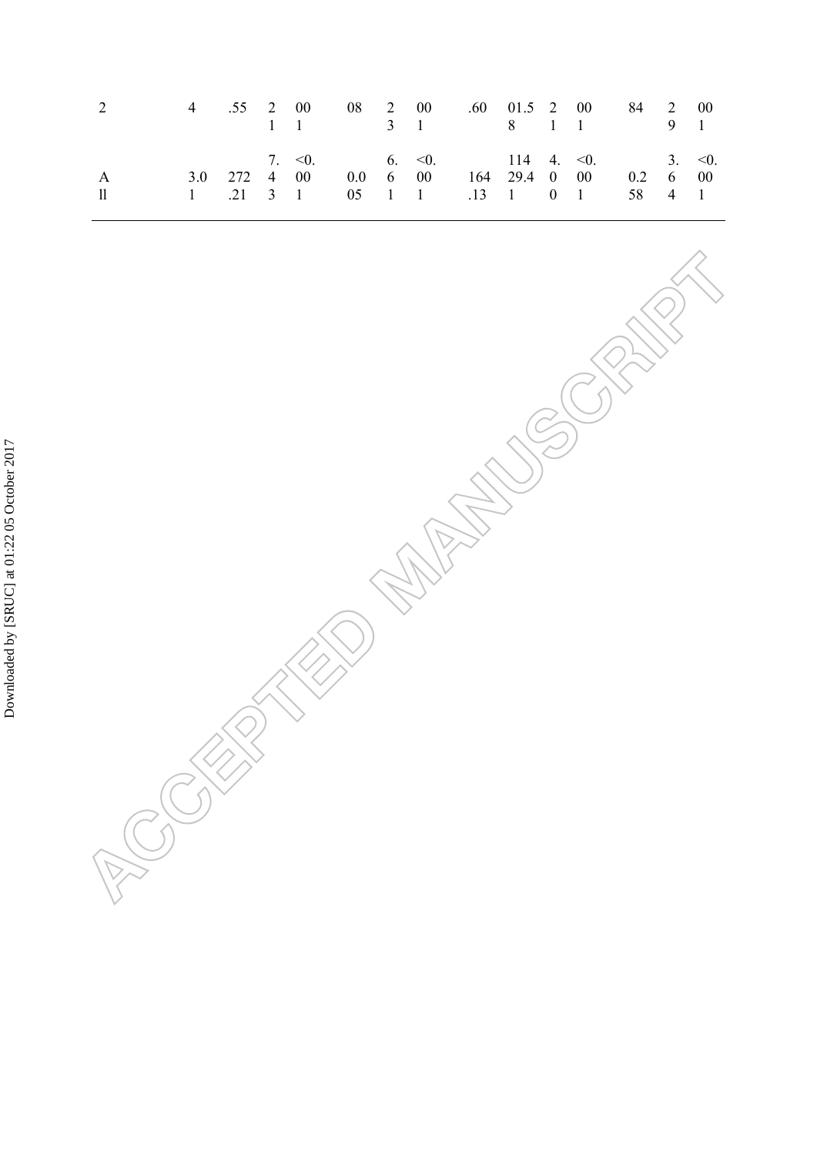| 4 .55 2 00 08 2 00 .60 01.5 2 00 84 2 00<br>2                                                                      |  | 1 1 3 1 8 1 1 9 1                       |  |  |  |  |  |
|--------------------------------------------------------------------------------------------------------------------|--|-----------------------------------------|--|--|--|--|--|
| 3.0 272 4 00 0.0 6 00 164 29.4 0 00 0.2 6 00<br>$\mathsf{A}$<br>1 .21 3 1 05 1 1 .13 1 0 1 58 4 1<br>$\mathbf{11}$ |  | 7. $0.6$ 6. $0.6$ 114 4. $0.6$ 3. $0.6$ |  |  |  |  |  |

|                               |  | <b>WARRENTSON</b> |  |
|-------------------------------|--|-------------------|--|
|                               |  |                   |  |
|                               |  |                   |  |
|                               |  |                   |  |
| <b>SKER</b><br>$\overline{C}$ |  |                   |  |
|                               |  |                   |  |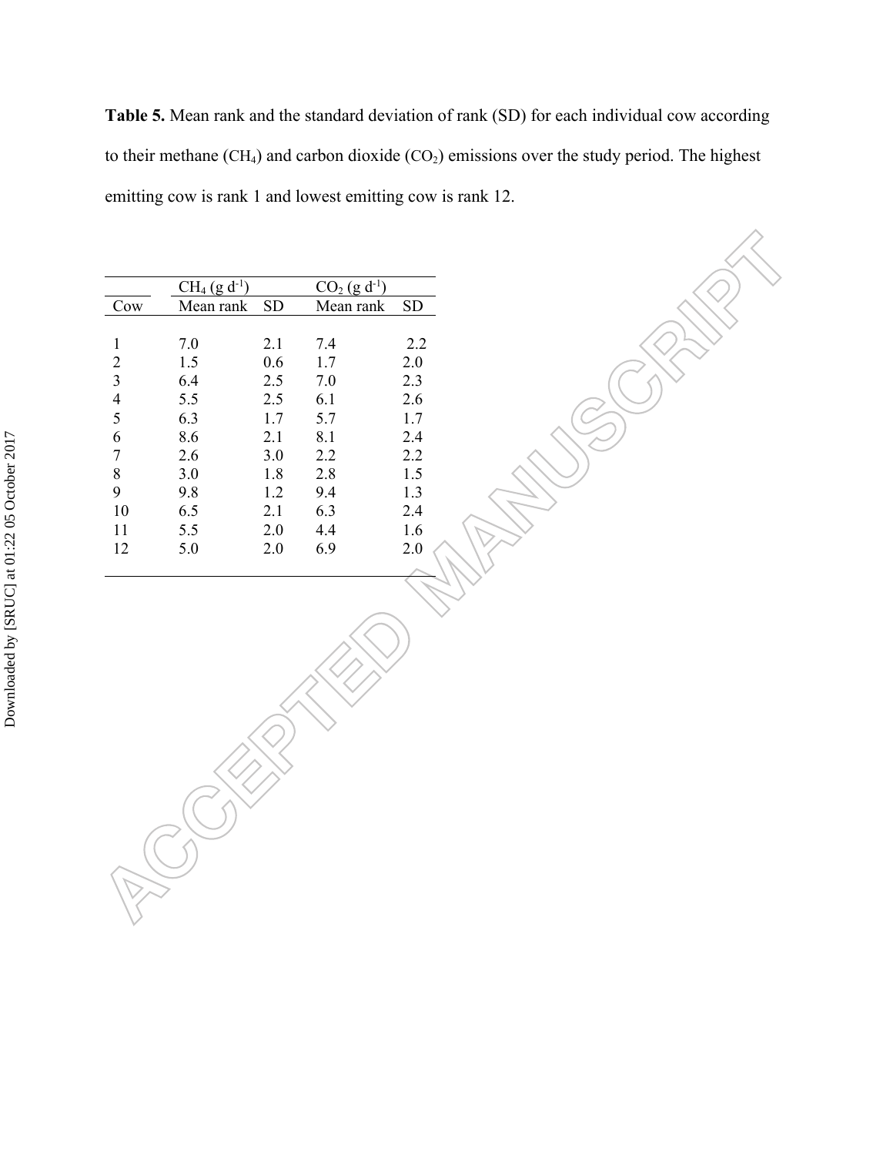**Table 5.** Mean rank and the standard deviation of rank (SD) for each individual cow according to their methane  $(CH_4)$  and carbon dioxide  $(CO_2)$  emissions over the study period. The highest emitting cow is rank 1 and lowest emitting cow is rank 12.

|                          | $CH_4$ (g d <sup>-1</sup> ) |     | $CO2$ (g d <sup>-1</sup> ) |     |
|--------------------------|-----------------------------|-----|----------------------------|-----|
| Cow                      | Mean rank                   | SD  | Mean rank                  | SD  |
|                          |                             |     |                            |     |
| 1                        | 7.0                         | 2.1 | 7.4                        | 2.2 |
| 2                        | 1.5                         | 0.6 | 1.7                        | 2.0 |
| 3                        | 6.4                         | 2.5 | 7.0                        | 2.3 |
| $\overline{\mathcal{A}}$ | 5.5                         | 2.5 | 6.1                        | 2.6 |
| 5                        | 6.3                         | 1.7 | 5.7                        | 1.7 |
| 6                        | 8.6                         | 2.1 | 8.1                        | 2.4 |
| 7                        | 2.6                         | 3.0 | 2.2                        | 2.2 |
| 8                        | 3.0                         | 1.8 | 2.8                        | 1.5 |
| 9                        | 9.8                         | 1.2 | 9.4                        | 1.3 |
| 10                       | 6.5                         | 2.1 | 6.3                        | 2.4 |
| 11                       | 5.5                         | 2.0 | 4.4                        | 1.6 |
| 12                       | 5.0                         | 2.0 | 6.9                        | 2.0 |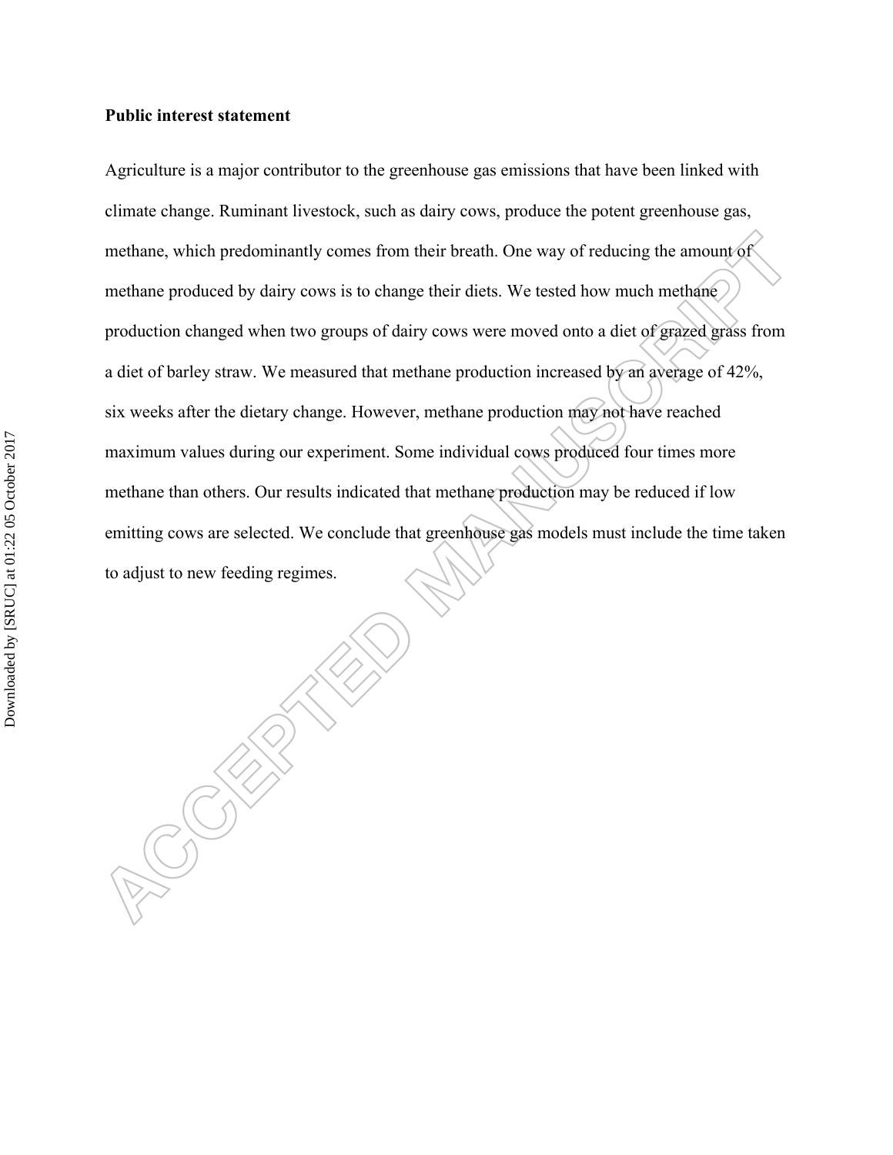#### **Public interest statement**

Agriculture is a major contributor to the greenhouse gas emissions that have been linked with climate change. Ruminant livestock, such as dairy cows, produce the potent greenhouse gas, methane, which predominantly comes from their breath. One way of reducing the amount of methane produced by dairy cows is to change their diets. We tested how much methane production changed when two groups of dairy cows were moved onto a diet of grazed grass from a diet of barley straw. We measured that methane production increased by an average of 42%, six weeks after the dietary change. However, methane production may not have reached maximum values during our experiment. Some individual cows produced four times more methane than others. Our results indicated that methane production may be reduced if low emitting cows are selected. We conclude that greenhouse gas models must include the time taken to adjust to new feeding regimes.